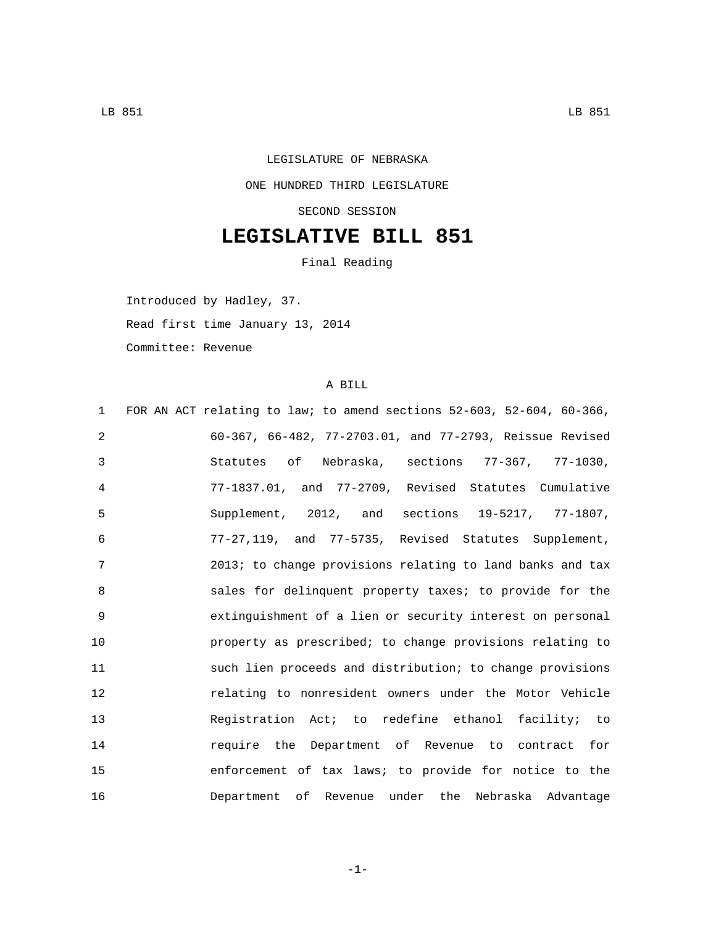## LEGISLATURE OF NEBRASKA ONE HUNDRED THIRD LEGISLATURE SECOND SESSION

## **LEGISLATIVE BILL 851**

Final Reading

Introduced by Hadley, 37.

Read first time January 13, 2014

Committee: Revenue

## A BILL

| FOR AN ACT relating to law; to amend sections 52-603, 52-604, 60-366,<br>$\mathbf{1}$ |
|---------------------------------------------------------------------------------------|
| 2<br>60-367, 66-482, 77-2703.01, and 77-2793, Reissue Revised                         |
| 3<br>Statutes of Nebraska, sections 77-367, 77-1030,                                  |
| 77-1837.01, and 77-2709, Revised Statutes Cumulative<br>4                             |
| 5<br>Supplement, 2012, and sections 19-5217, 77-1807,                                 |
| 77-27,119, and 77-5735, Revised Statutes Supplement,<br>6                             |
| 7<br>2013; to change provisions relating to land banks and tax                        |
| 8<br>sales for delinquent property taxes; to provide for the                          |
| 9<br>extinguishment of a lien or security interest on personal                        |
| 10<br>property as prescribed; to change provisions relating to                        |
| 11<br>such lien proceeds and distribution; to change provisions                       |
| 12<br>relating to nonresident owners under the Motor Vehicle                          |
| 13<br>Registration Act; to redefine ethanol facility; to                              |
| 14<br>require the Department of Revenue to contract for                               |
| 15<br>enforcement of tax laws; to provide for notice to the                           |
| 16<br>Department of Revenue under the Nebraska Advantage                              |

-1-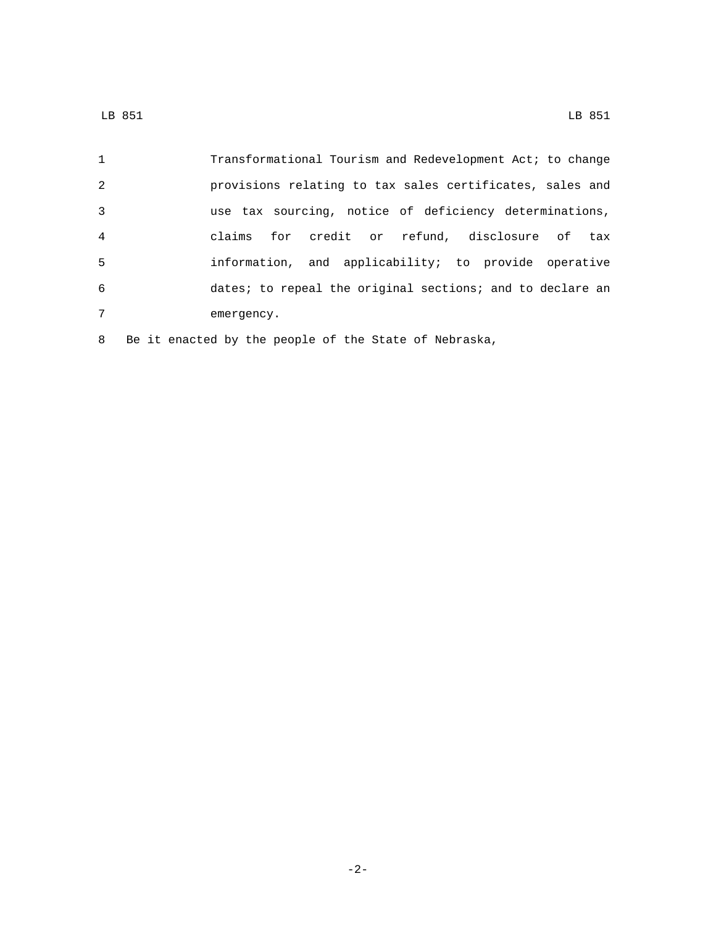| 2<br>3<br>$\overline{4}$<br>5<br>6<br>7<br>emergency. | $\mathbf{1}$ | Transformational Tourism and Redevelopment Act; to change |
|-------------------------------------------------------|--------------|-----------------------------------------------------------|
|                                                       |              | provisions relating to tax sales certificates, sales and  |
|                                                       |              | use tax sourcing, notice of deficiency determinations,    |
|                                                       |              | claims for credit or refund, disclosure of tax            |
|                                                       |              | information, and applicability; to provide operative      |
|                                                       |              | dates; to repeal the original sections; and to declare an |
|                                                       |              |                                                           |

Be it enacted by the people of the State of Nebraska,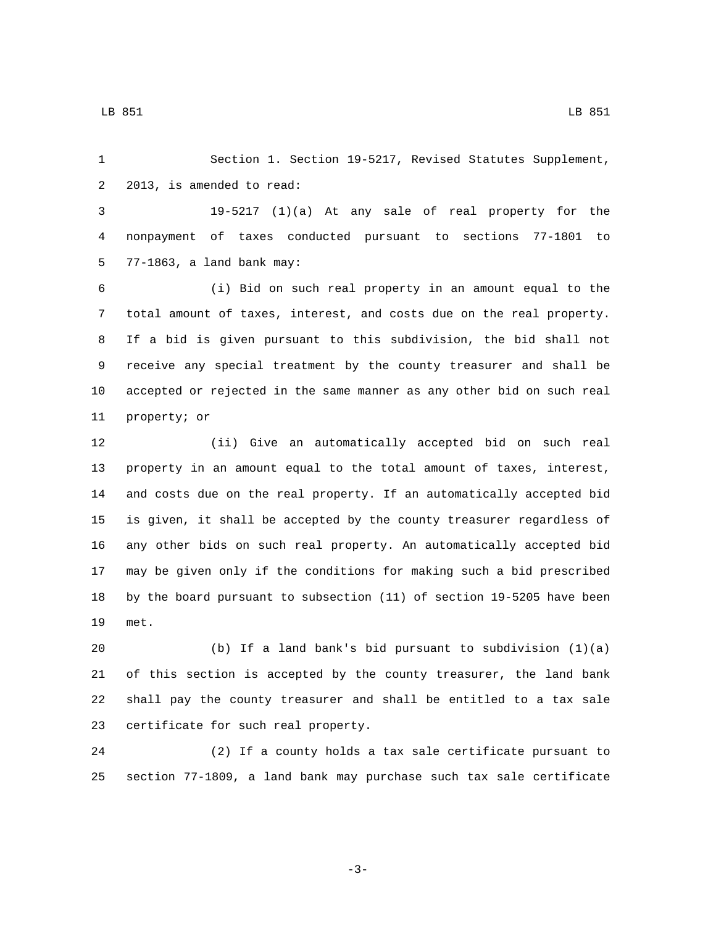Section 1. Section 19-5217, Revised Statutes Supplement, 2 2013, is amended to read:

 19-5217 (1)(a) At any sale of real property for the nonpayment of taxes conducted pursuant to sections 77-1801 to 77-1863, a land bank may:5

 (i) Bid on such real property in an amount equal to the total amount of taxes, interest, and costs due on the real property. If a bid is given pursuant to this subdivision, the bid shall not receive any special treatment by the county treasurer and shall be accepted or rejected in the same manner as any other bid on such real 11 property; or

 (ii) Give an automatically accepted bid on such real property in an amount equal to the total amount of taxes, interest, and costs due on the real property. If an automatically accepted bid is given, it shall be accepted by the county treasurer regardless of any other bids on such real property. An automatically accepted bid may be given only if the conditions for making such a bid prescribed by the board pursuant to subsection (11) of section 19-5205 have been 19 met.

 (b) If a land bank's bid pursuant to subdivision (1)(a) of this section is accepted by the county treasurer, the land bank shall pay the county treasurer and shall be entitled to a tax sale 23 certificate for such real property.

 (2) If a county holds a tax sale certificate pursuant to section 77-1809, a land bank may purchase such tax sale certificate

LB 851 LB 851

-3-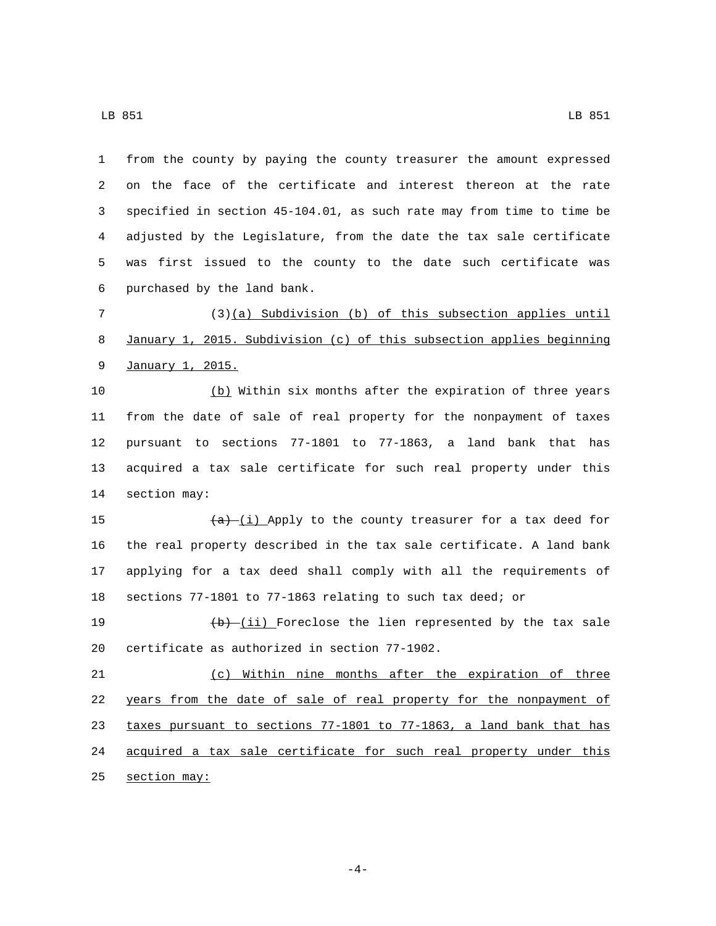from the county by paying the county treasurer the amount expressed on the face of the certificate and interest thereon at the rate specified in section 45-104.01, as such rate may from time to time be adjusted by the Legislature, from the date the tax sale certificate was first issued to the county to the date such certificate was 6 purchased by the land bank.

 (3)(a) Subdivision (b) of this subsection applies until January 1, 2015. Subdivision (c) of this subsection applies beginning 9 January 1, 2015.

 (b) Within six months after the expiration of three years from the date of sale of real property for the nonpayment of taxes pursuant to sections 77-1801 to 77-1863, a land bank that has acquired a tax sale certificate for such real property under this 14 section may:

 $(a)$   $(i)$  Apply to the county treasurer for a tax deed for the real property described in the tax sale certificate. A land bank applying for a tax deed shall comply with all the requirements of sections 77-1801 to 77-1863 relating to such tax deed; or

19  $(b)$   $(i)$  Foreclose the lien represented by the tax sale 20 certificate as authorized in section 77-1902.

 (c) Within nine months after the expiration of three years from the date of sale of real property for the nonpayment of taxes pursuant to sections 77-1801 to 77-1863, a land bank that has acquired a tax sale certificate for such real property under this 25 section may:

-4-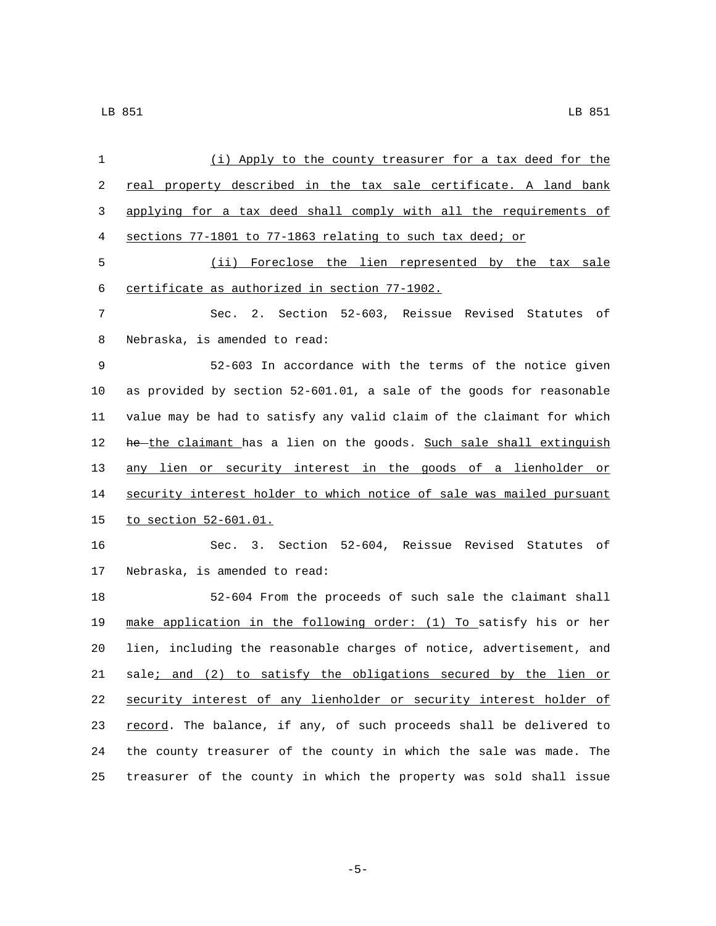| 1  | (i) Apply to the county treasurer for a tax deed for the              |
|----|-----------------------------------------------------------------------|
| 2  | real property described in the tax sale certificate. A land bank      |
| 3  | applying for a tax deed shall comply with all the requirements of     |
| 4  | sections 77-1801 to 77-1863 relating to such tax deed; or             |
| 5  | (ii) Foreclose the lien represented by the tax sale                   |
| 6  | certificate as authorized in section 77-1902.                         |
| 7  | Sec. 2. Section 52-603, Reissue Revised Statutes of                   |
| 8  | Nebraska, is amended to read:                                         |
| 9  | 52-603 In accordance with the terms of the notice given               |
| 10 | as provided by section 52-601.01, a sale of the goods for reasonable  |
| 11 | value may be had to satisfy any valid claim of the claimant for which |
| 12 | he-the claimant has a lien on the goods. Such sale shall extinguish   |
| 13 | any lien or security interest in the goods of a lienholder or         |
| 14 | security interest holder to which notice of sale was mailed pursuant  |
| 15 | <u>to section 52-601.01.</u>                                          |
| 16 | Sec. 3. Section 52-604, Reissue Revised Statutes of                   |
| 17 | Nebraska, is amended to read:                                         |
| 18 | 52-604 From the proceeds of such sale the claimant shall              |
| 19 | make application in the following order: (1) To satisfy his or her    |
| 20 | lien, including the reasonable charges of notice, advertisement, and  |
| 21 | sale; and (2) to satisfy the obligations secured by the lien or       |
| 22 | security interest of any lienholder or security interest holder of    |
| 23 | record. The balance, if any, of such proceeds shall be delivered to   |
| 24 | the county treasurer of the county in which the sale was made. The    |
| 25 | treasurer of the county in which the property was sold shall issue    |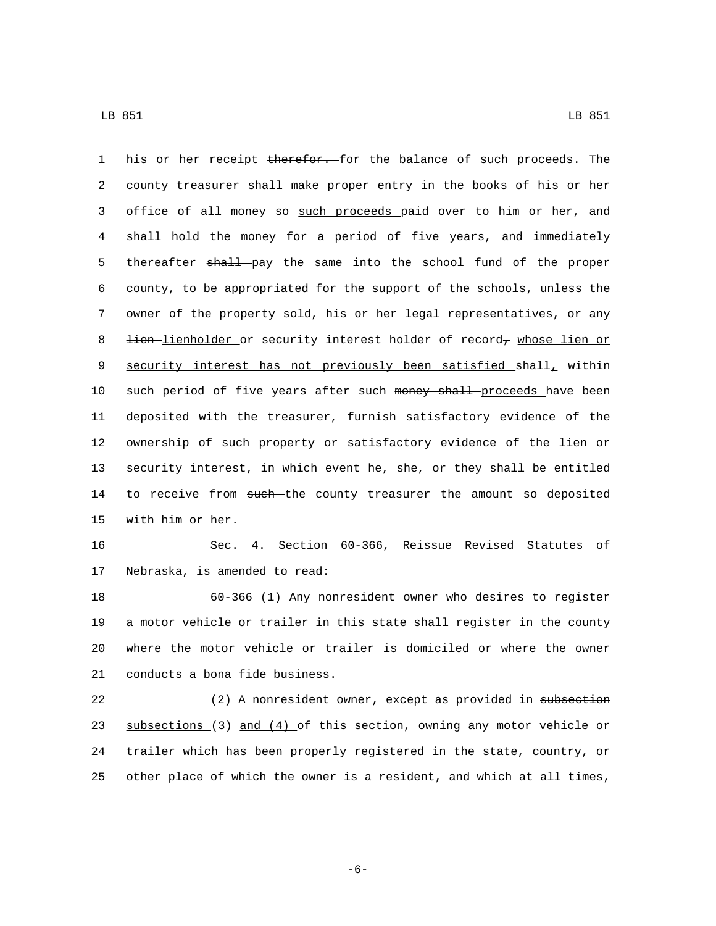1 his or her receipt therefor. for the balance of such proceeds. The 2 county treasurer shall make proper entry in the books of his or her 3 office of all money so such proceeds paid over to him or her, and 4 shall hold the money for a period of five years, and immediately 5 thereafter shall pay the same into the school fund of the proper 6 county, to be appropriated for the support of the schools, unless the 7 owner of the property sold, his or her legal representatives, or any 8 <del>lien lienholder</del> or security interest holder of record<sub>7</sub> whose lien or 9 security interest has not previously been satisfied shall, within 10 such period of five years after such money shall proceeds have been 11 deposited with the treasurer, furnish satisfactory evidence of the 12 ownership of such property or satisfactory evidence of the lien or 13 security interest, in which event he, she, or they shall be entitled 14 to receive from such the county treasurer the amount so deposited 15 with him or her.

16 Sec. 4. Section 60-366, Reissue Revised Statutes of 17 Nebraska, is amended to read:

 60-366 (1) Any nonresident owner who desires to register a motor vehicle or trailer in this state shall register in the county where the motor vehicle or trailer is domiciled or where the owner 21 conducts a bona fide business.

22 (2) A nonresident owner, except as provided in subsection 23 subsections (3) and (4) of this section, owning any motor vehicle or 24 trailer which has been properly registered in the state, country, or 25 other place of which the owner is a resident, and which at all times,

-6-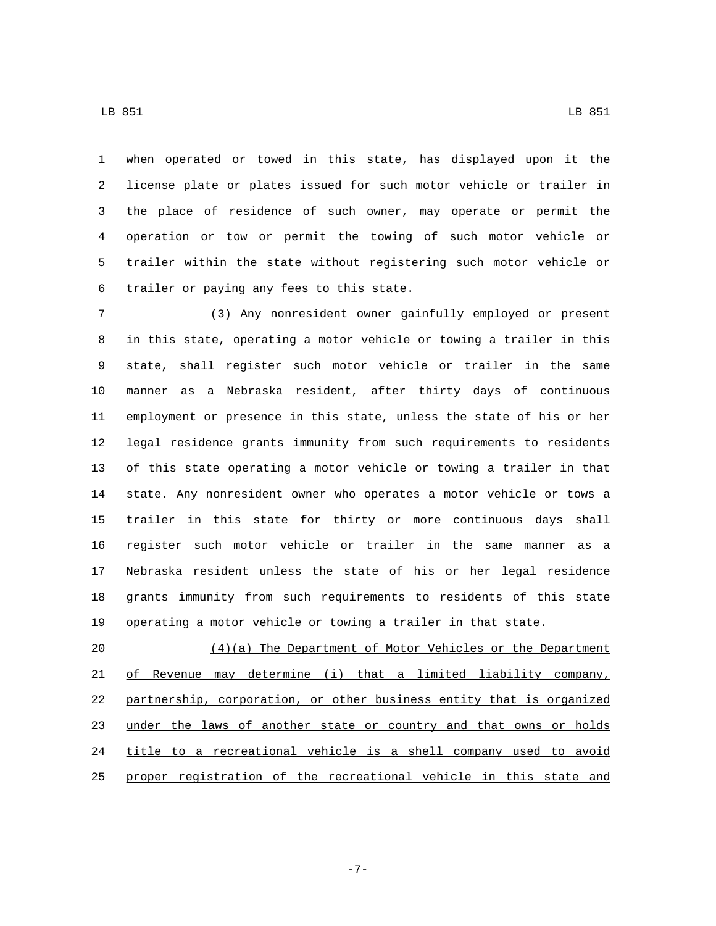when operated or towed in this state, has displayed upon it the license plate or plates issued for such motor vehicle or trailer in the place of residence of such owner, may operate or permit the operation or tow or permit the towing of such motor vehicle or trailer within the state without registering such motor vehicle or 6 trailer or paying any fees to this state.

 (3) Any nonresident owner gainfully employed or present in this state, operating a motor vehicle or towing a trailer in this state, shall register such motor vehicle or trailer in the same manner as a Nebraska resident, after thirty days of continuous employment or presence in this state, unless the state of his or her legal residence grants immunity from such requirements to residents of this state operating a motor vehicle or towing a trailer in that state. Any nonresident owner who operates a motor vehicle or tows a trailer in this state for thirty or more continuous days shall register such motor vehicle or trailer in the same manner as a Nebraska resident unless the state of his or her legal residence grants immunity from such requirements to residents of this state operating a motor vehicle or towing a trailer in that state.

 (4)(a) The Department of Motor Vehicles or the Department of Revenue may determine (i) that a limited liability company, partnership, corporation, or other business entity that is organized 23 under the laws of another state or country and that owns or holds title to a recreational vehicle is a shell company used to avoid proper registration of the recreational vehicle in this state and

LB 851 LB 851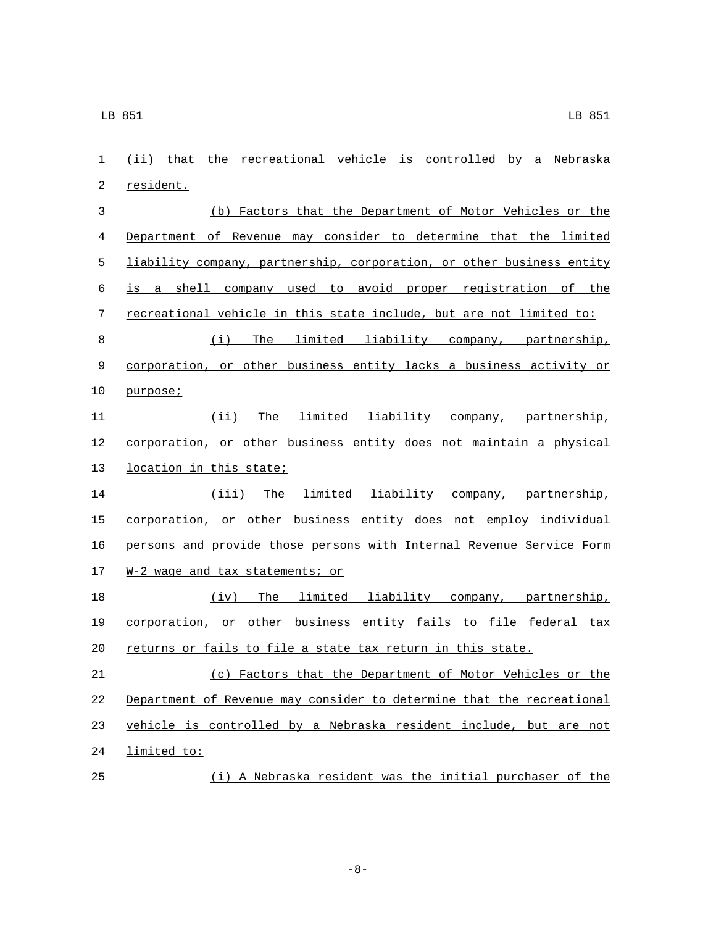(ii) that the recreational vehicle is controlled by a Nebraska 2 resident. (b) Factors that the Department of Motor Vehicles or the Department of Revenue may consider to determine that the limited liability company, partnership, corporation, or other business entity is a shell company used to avoid proper registration of the recreational vehicle in this state include, but are not limited to: (i) The limited liability company, partnership, corporation, or other business entity lacks a business activity or 10 purpose; (ii) The limited liability company, partnership, corporation, or other business entity does not maintain a physical 13 location in this state; (iii) The limited liability company, partnership, 15 corporation, or other business entity does not employ individual persons and provide those persons with Internal Revenue Service Form 17 W-2 wage and tax statements; or (iv) The limited liability company, partnership, corporation, or other business entity fails to file federal tax returns or fails to file a state tax return in this state. (c) Factors that the Department of Motor Vehicles or the Department of Revenue may consider to determine that the recreational vehicle is controlled by a Nebraska resident include, but are not 24 limited to:

(i) A Nebraska resident was the initial purchaser of the

-8-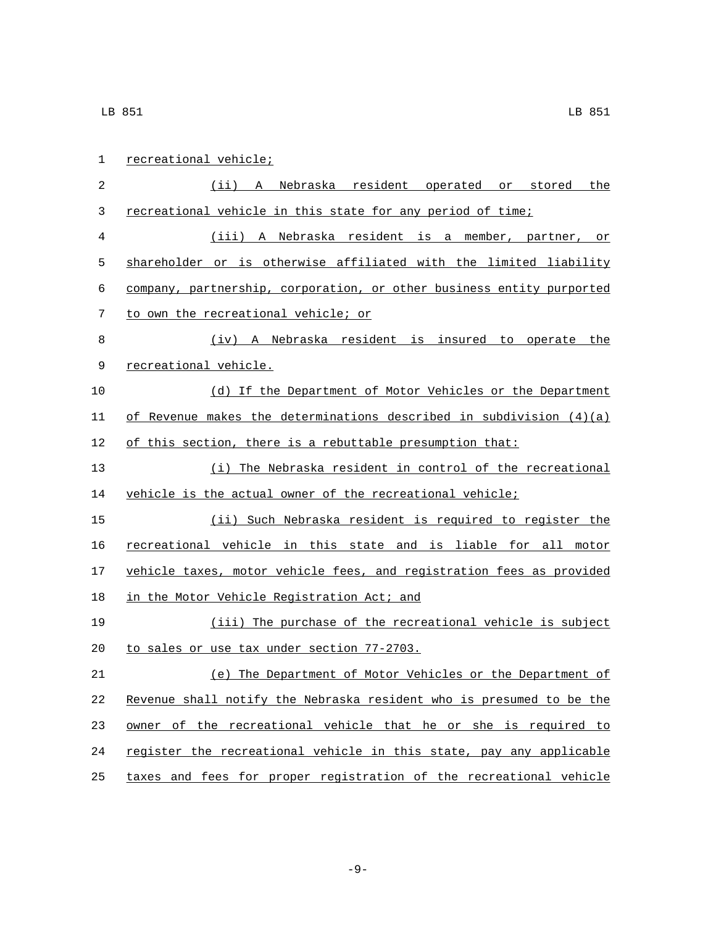| 1  | recreational vehicle;                                                 |
|----|-----------------------------------------------------------------------|
| 2  | Nebraska resident operated or stored<br>the<br>(ii) A                 |
| 3  | recreational vehicle in this state for any period of time;            |
| 4  | (iii) A Nebraska resident is a member, partner, or                    |
| 5  | shareholder or is otherwise affiliated with the limited liability     |
| 6  | company, partnership, corporation, or other business entity purported |
| 7  | to own the recreational vehicle; or                                   |
| 8  | (iv) A Nebraska resident is insured to operate the                    |
| 9  | recreational vehicle.                                                 |
| 10 | (d) If the Department of Motor Vehicles or the Department             |
| 11 | of Revenue makes the determinations described in subdivision $(4)(a)$ |
| 12 | of this section, there is a rebuttable presumption that:              |
| 13 | (i) The Nebraska resident in control of the recreational              |
| 14 | vehicle is the actual owner of the recreational vehicle;              |
| 15 | (ii) Such Nebraska resident is required to register the               |
| 16 | recreational vehicle in this state and is liable for all motor        |
| 17 | vehicle taxes, motor vehicle fees, and registration fees as provided  |
| 18 | in the Motor Vehicle Registration Act; and                            |
| 19 | (iii) The purchase of the recreational vehicle is subject             |
| 20 | to sales or use tax under section 77-2703.                            |
| 21 | (e) The Department of Motor Vehicles or the Department of             |
| 22 | Revenue shall notify the Nebraska resident who is presumed to be the  |
| 23 | owner of the recreational vehicle that he or she is required to       |
| 24 | register the recreational vehicle in this state, pay any applicable   |
| 25 | taxes and fees for proper registration of the recreational vehicle    |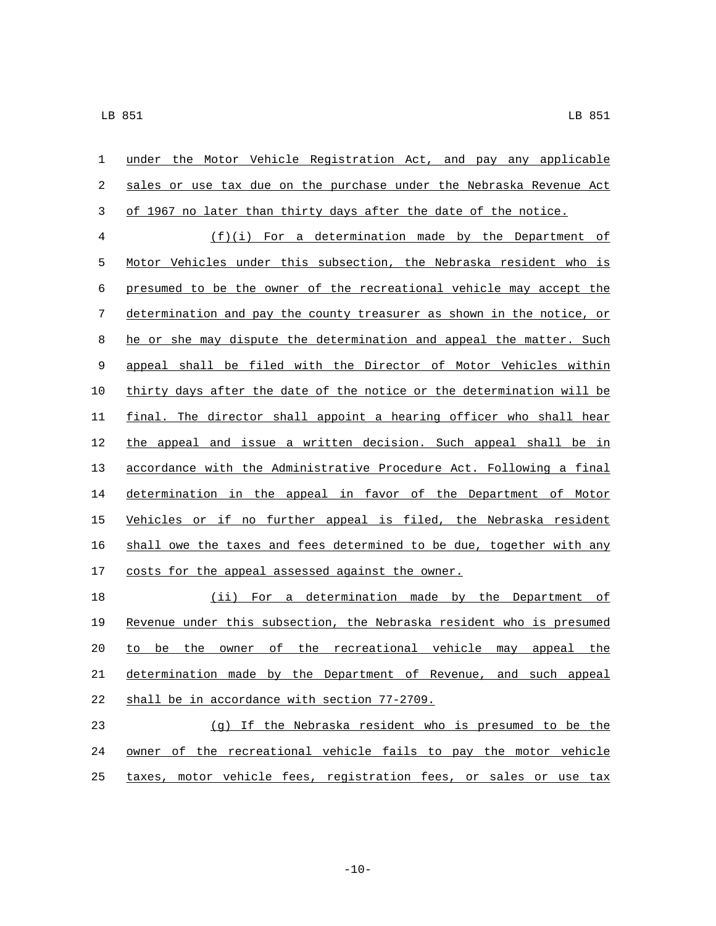| $\mathbf{1}$     | under the Motor Vehicle Registration Act, and pay any applicable      |
|------------------|-----------------------------------------------------------------------|
| $\sqrt{2}$       | sales or use tax due on the purchase under the Nebraska Revenue Act   |
| $\mathfrak{Z}$   | of 1967 no later than thirty days after the date of the notice.       |
| $\overline{4}$   | $(f)(i)$ For a determination made by the Department of                |
| 5                | Motor Vehicles under this subsection, the Nebraska resident who is    |
| 6                | presumed to be the owner of the recreational vehicle may accept the   |
| $\boldsymbol{7}$ | determination and pay the county treasurer as shown in the notice, or |
| $\,8\,$          | he or she may dispute the determination and appeal the matter. Such   |
| $\mathsf 9$      | appeal shall be filed with the Director of Motor Vehicles within      |
| $10\,$           | thirty days after the date of the notice or the determination will be |
| 11               | final. The director shall appoint a hearing officer who shall hear    |
| 12               | the appeal and issue a written decision. Such appeal shall be in      |
| 13               | accordance with the Administrative Procedure Act. Following a final   |
| 14               | determination in the appeal in favor of the Department of Motor       |
| 15               | Vehicles or if no further appeal is filed, the Nebraska resident      |
| 16               | shall owe the taxes and fees determined to be due, together with any  |
| 17               | costs for the appeal assessed against the owner.                      |
| 18               | (ii) For a determination made by the Department of                    |
| 19               | Revenue under this subsection, the Nebraska resident who is presumed  |
| 20               | to be the owner of the recreational vehicle may appeal the            |
| 21               | determination made by the Department of Revenue, and such appeal      |
| 22               | shall be in accordance with section 77-2709.                          |
| 23               | (g) If the Nebraska resident who is presumed to be the                |
| 24               | of the recreational vehicle fails to pay the motor vehicle<br>owner   |

25 taxes, motor vehicle fees, registration fees, or sales or use tax

 $-10-$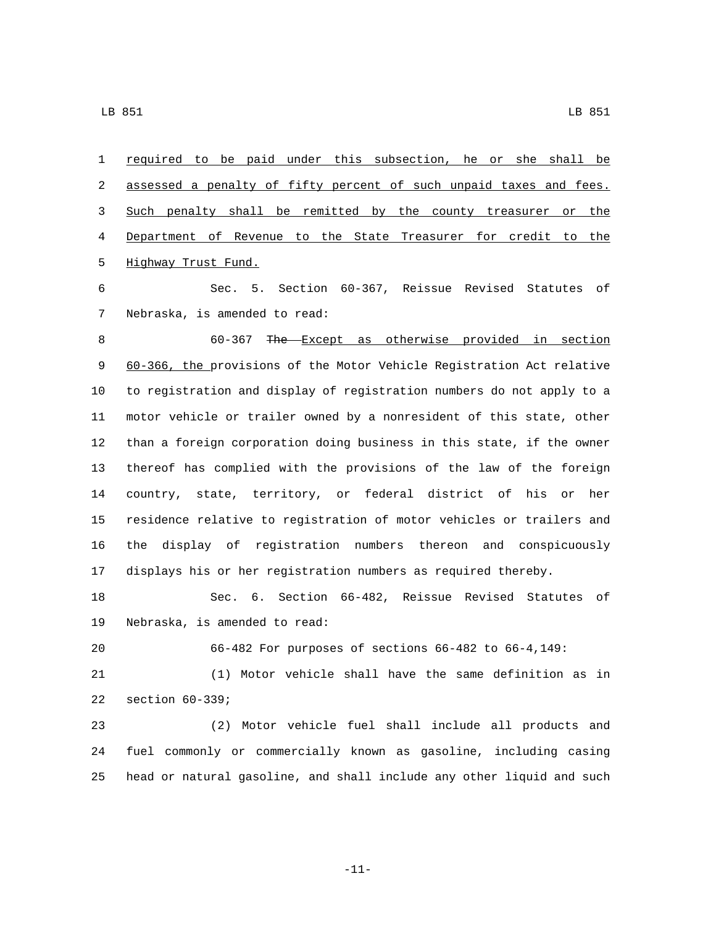required to be paid under this subsection, he or she shall be 2 assessed a penalty of fifty percent of such unpaid taxes and fees. Such penalty shall be remitted by the county treasurer or the Department of Revenue to the State Treasurer for credit to the 5 Highway Trust Fund.

 Sec. 5. Section 60-367, Reissue Revised Statutes of 7 Nebraska, is amended to read:

 60-367 The Except as otherwise provided in section 60-366, the provisions of the Motor Vehicle Registration Act relative to registration and display of registration numbers do not apply to a motor vehicle or trailer owned by a nonresident of this state, other than a foreign corporation doing business in this state, if the owner thereof has complied with the provisions of the law of the foreign country, state, territory, or federal district of his or her residence relative to registration of motor vehicles or trailers and the display of registration numbers thereon and conspicuously displays his or her registration numbers as required thereby.

 Sec. 6. Section 66-482, Reissue Revised Statutes of 19 Nebraska, is amended to read:

66-482 For purposes of sections 66-482 to 66-4,149:

 (1) Motor vehicle shall have the same definition as in 22 section 60-339;

 (2) Motor vehicle fuel shall include all products and fuel commonly or commercially known as gasoline, including casing head or natural gasoline, and shall include any other liquid and such

-11-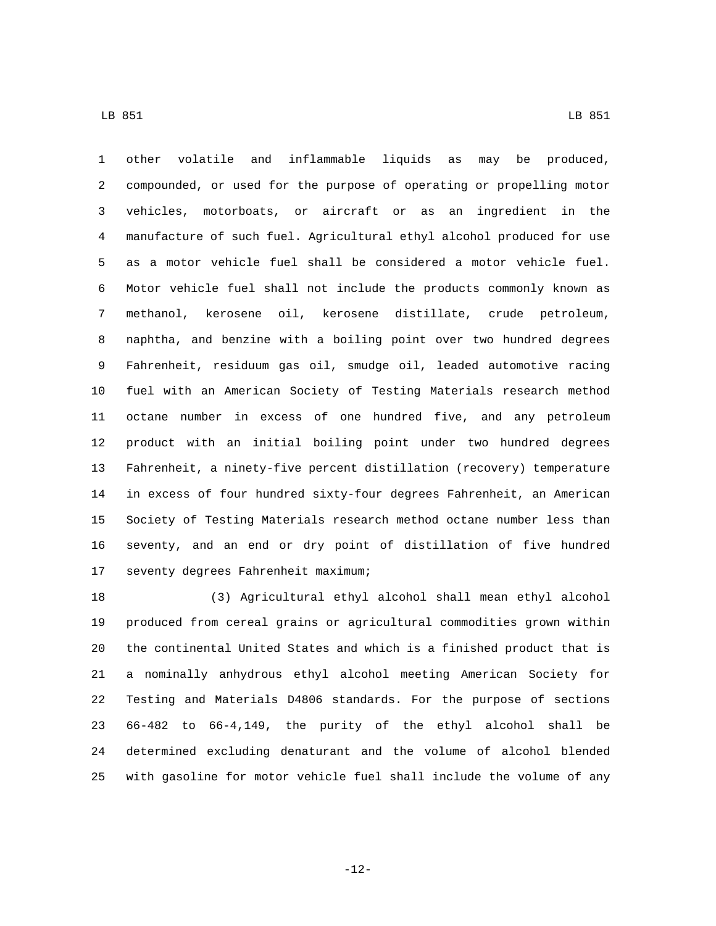other volatile and inflammable liquids as may be produced, compounded, or used for the purpose of operating or propelling motor vehicles, motorboats, or aircraft or as an ingredient in the manufacture of such fuel. Agricultural ethyl alcohol produced for use as a motor vehicle fuel shall be considered a motor vehicle fuel. Motor vehicle fuel shall not include the products commonly known as methanol, kerosene oil, kerosene distillate, crude petroleum, naphtha, and benzine with a boiling point over two hundred degrees Fahrenheit, residuum gas oil, smudge oil, leaded automotive racing fuel with an American Society of Testing Materials research method octane number in excess of one hundred five, and any petroleum product with an initial boiling point under two hundred degrees Fahrenheit, a ninety-five percent distillation (recovery) temperature in excess of four hundred sixty-four degrees Fahrenheit, an American Society of Testing Materials research method octane number less than seventy, and an end or dry point of distillation of five hundred 17 seventy degrees Fahrenheit maximum;

 (3) Agricultural ethyl alcohol shall mean ethyl alcohol produced from cereal grains or agricultural commodities grown within the continental United States and which is a finished product that is a nominally anhydrous ethyl alcohol meeting American Society for Testing and Materials D4806 standards. For the purpose of sections 66-482 to 66-4,149, the purity of the ethyl alcohol shall be determined excluding denaturant and the volume of alcohol blended with gasoline for motor vehicle fuel shall include the volume of any

-12-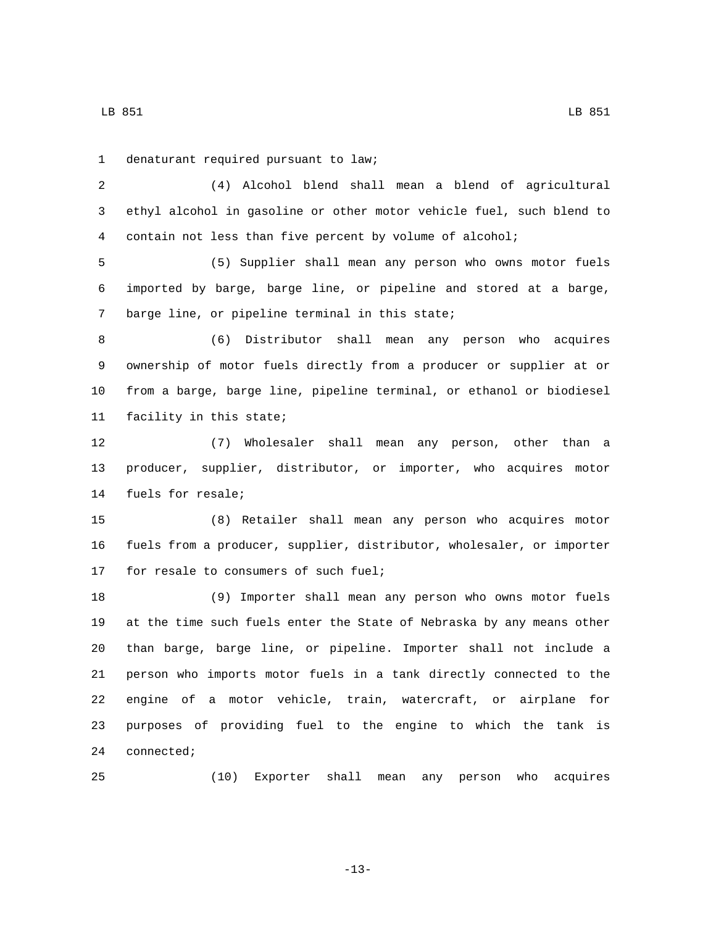LB 851 LB 851

denaturant required pursuant to law;1

 (4) Alcohol blend shall mean a blend of agricultural ethyl alcohol in gasoline or other motor vehicle fuel, such blend to contain not less than five percent by volume of alcohol;

 (5) Supplier shall mean any person who owns motor fuels imported by barge, barge line, or pipeline and stored at a barge, 7 barge line, or pipeline terminal in this state;

 (6) Distributor shall mean any person who acquires ownership of motor fuels directly from a producer or supplier at or from a barge, barge line, pipeline terminal, or ethanol or biodiesel 11 facility in this state;

 (7) Wholesaler shall mean any person, other than a producer, supplier, distributor, or importer, who acquires motor 14 fuels for resale;

 (8) Retailer shall mean any person who acquires motor fuels from a producer, supplier, distributor, wholesaler, or importer 17 for resale to consumers of such fuel;

 (9) Importer shall mean any person who owns motor fuels at the time such fuels enter the State of Nebraska by any means other than barge, barge line, or pipeline. Importer shall not include a person who imports motor fuels in a tank directly connected to the engine of a motor vehicle, train, watercraft, or airplane for purposes of providing fuel to the engine to which the tank is 24 connected;

(10) Exporter shall mean any person who acquires

-13-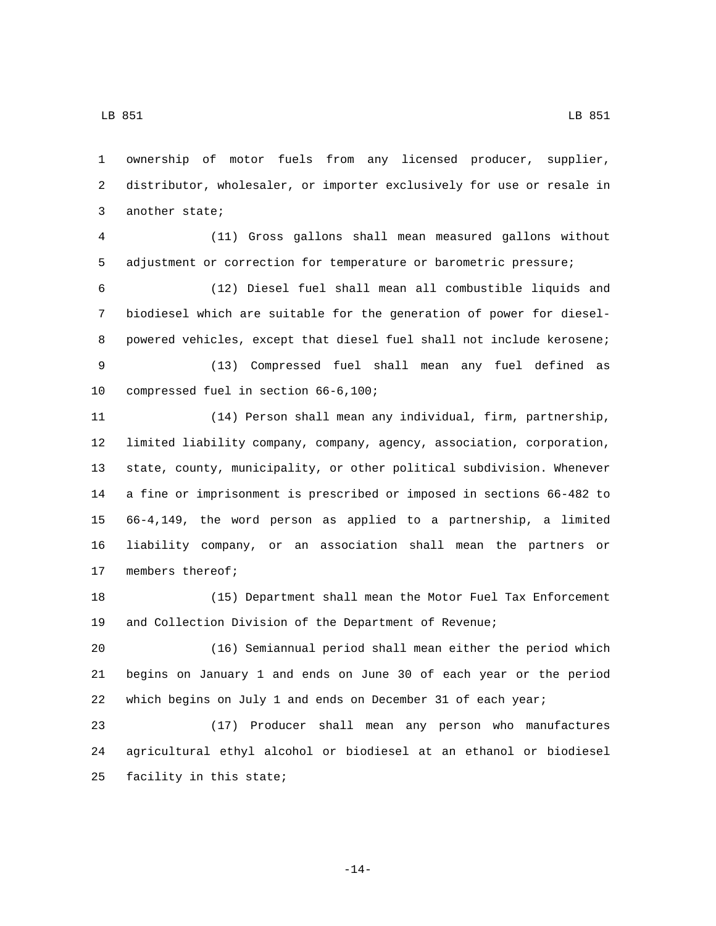ownership of motor fuels from any licensed producer, supplier, distributor, wholesaler, or importer exclusively for use or resale in 3 another state;

 (11) Gross gallons shall mean measured gallons without adjustment or correction for temperature or barometric pressure;

 (12) Diesel fuel shall mean all combustible liquids and biodiesel which are suitable for the generation of power for diesel- powered vehicles, except that diesel fuel shall not include kerosene; (13) Compressed fuel shall mean any fuel defined as 10 compressed fuel in section 66-6,100;

 (14) Person shall mean any individual, firm, partnership, limited liability company, company, agency, association, corporation, state, county, municipality, or other political subdivision. Whenever a fine or imprisonment is prescribed or imposed in sections 66-482 to 66-4,149, the word person as applied to a partnership, a limited liability company, or an association shall mean the partners or 17 members thereof;

 (15) Department shall mean the Motor Fuel Tax Enforcement and Collection Division of the Department of Revenue;

 (16) Semiannual period shall mean either the period which begins on January 1 and ends on June 30 of each year or the period which begins on July 1 and ends on December 31 of each year;

 (17) Producer shall mean any person who manufactures agricultural ethyl alcohol or biodiesel at an ethanol or biodiesel 25 facility in this state;

-14-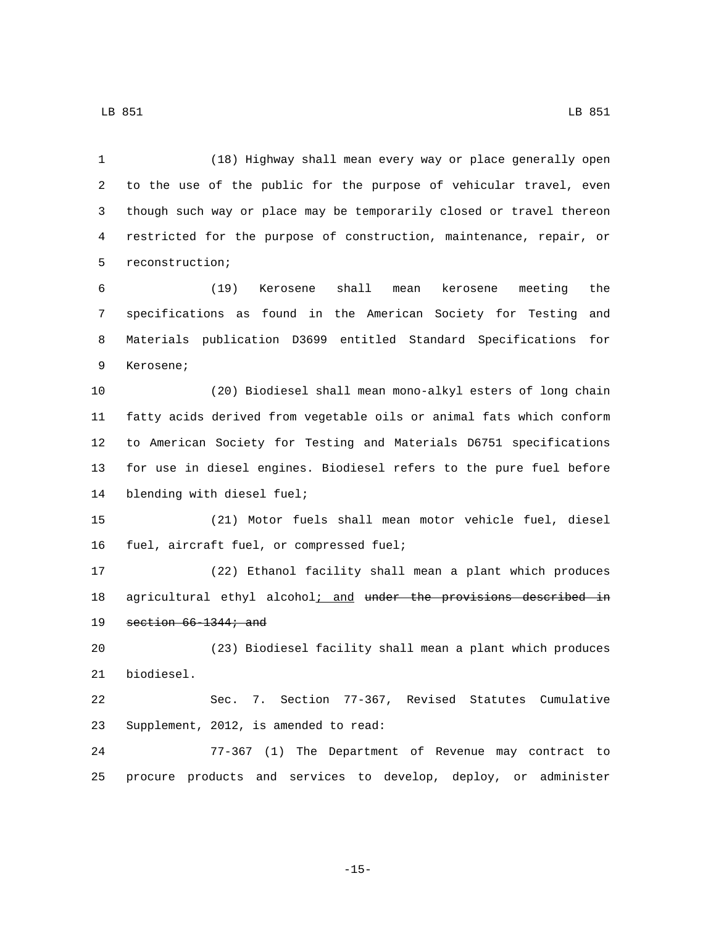(18) Highway shall mean every way or place generally open to the use of the public for the purpose of vehicular travel, even though such way or place may be temporarily closed or travel thereon restricted for the purpose of construction, maintenance, repair, or 5 reconstruction;

 (19) Kerosene shall mean kerosene meeting the specifications as found in the American Society for Testing and Materials publication D3699 entitled Standard Specifications for 9 Kerosene;

 (20) Biodiesel shall mean mono-alkyl esters of long chain fatty acids derived from vegetable oils or animal fats which conform to American Society for Testing and Materials D6751 specifications for use in diesel engines. Biodiesel refers to the pure fuel before 14 blending with diesel fuel;

 (21) Motor fuels shall mean motor vehicle fuel, diesel 16 fuel, aircraft fuel, or compressed fuel;

 (22) Ethanol facility shall mean a plant which produces 18 agricultural ethyl alcohol; and under the provisions described in 19 section  $66-1344$ ; and

 (23) Biodiesel facility shall mean a plant which produces 21 biodiesel.

 Sec. 7. Section 77-367, Revised Statutes Cumulative 23 Supplement, 2012, is amended to read:

 77-367 (1) The Department of Revenue may contract to procure products and services to develop, deploy, or administer

-15-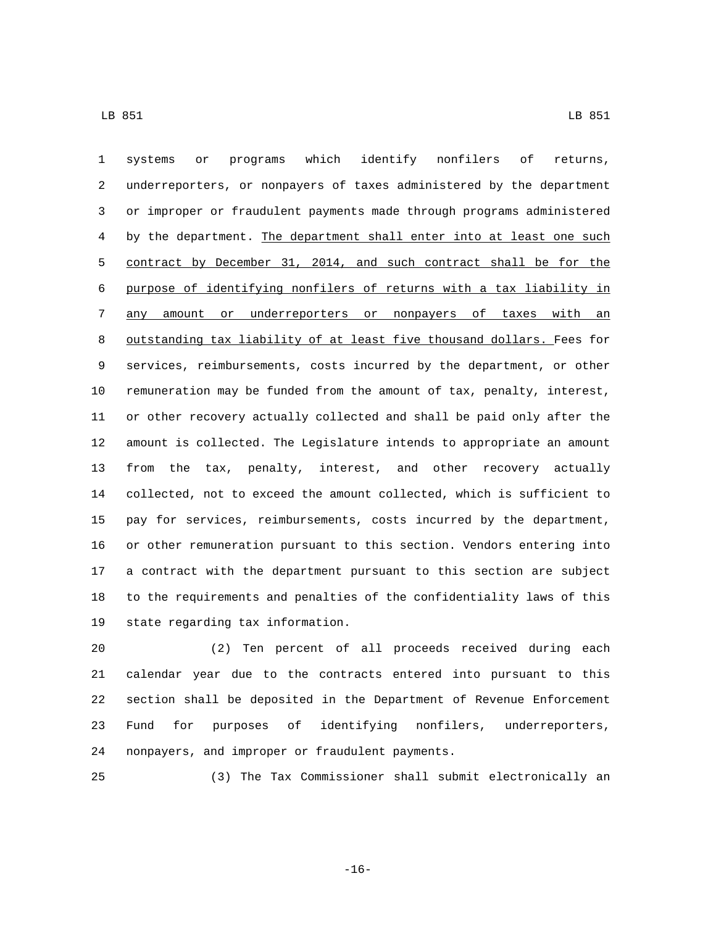systems or programs which identify nonfilers of returns, underreporters, or nonpayers of taxes administered by the department or improper or fraudulent payments made through programs administered by the department. The department shall enter into at least one such contract by December 31, 2014, and such contract shall be for the purpose of identifying nonfilers of returns with a tax liability in 7 any amount or underreporters or nonpayers of taxes with an outstanding tax liability of at least five thousand dollars. Fees for services, reimbursements, costs incurred by the department, or other remuneration may be funded from the amount of tax, penalty, interest, or other recovery actually collected and shall be paid only after the amount is collected. The Legislature intends to appropriate an amount from the tax, penalty, interest, and other recovery actually collected, not to exceed the amount collected, which is sufficient to pay for services, reimbursements, costs incurred by the department, or other remuneration pursuant to this section. Vendors entering into a contract with the department pursuant to this section are subject to the requirements and penalties of the confidentiality laws of this 19 state regarding tax information.

 (2) Ten percent of all proceeds received during each calendar year due to the contracts entered into pursuant to this section shall be deposited in the Department of Revenue Enforcement Fund for purposes of identifying nonfilers, underreporters, 24 nonpayers, and improper or fraudulent payments.

(3) The Tax Commissioner shall submit electronically an

-16-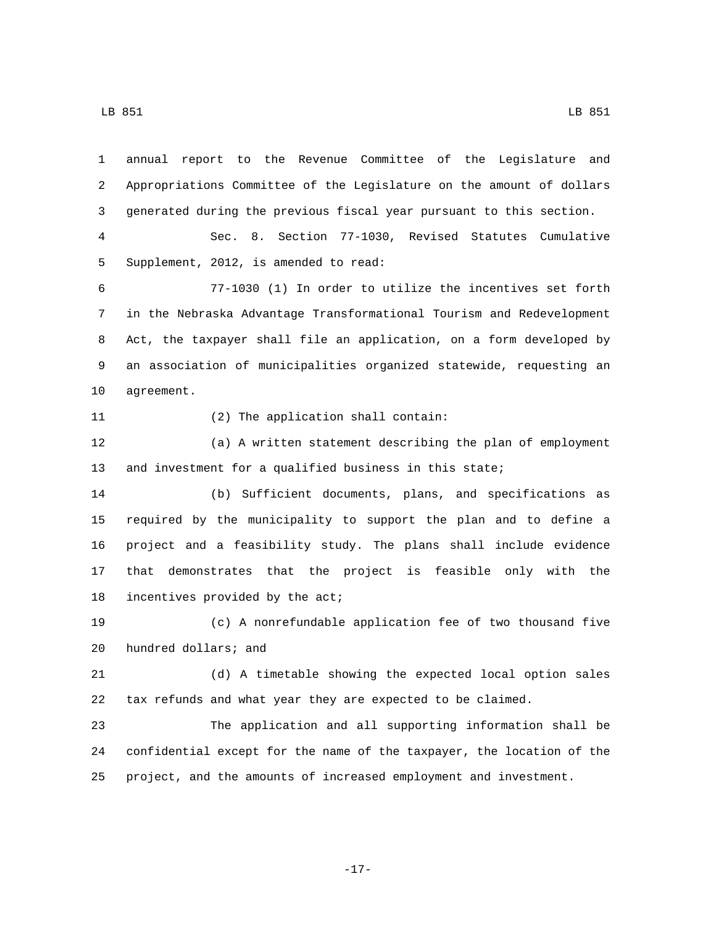annual report to the Revenue Committee of the Legislature and Appropriations Committee of the Legislature on the amount of dollars generated during the previous fiscal year pursuant to this section.

 Sec. 8. Section 77-1030, Revised Statutes Cumulative 5 Supplement, 2012, is amended to read:

 77-1030 (1) In order to utilize the incentives set forth in the Nebraska Advantage Transformational Tourism and Redevelopment Act, the taxpayer shall file an application, on a form developed by an association of municipalities organized statewide, requesting an 10 agreement.

11 (2) The application shall contain:

 (a) A written statement describing the plan of employment and investment for a qualified business in this state;

 (b) Sufficient documents, plans, and specifications as required by the municipality to support the plan and to define a project and a feasibility study. The plans shall include evidence that demonstrates that the project is feasible only with the 18 incentives provided by the  $acti$ 

 (c) A nonrefundable application fee of two thousand five 20 hundred dollars; and

 (d) A timetable showing the expected local option sales tax refunds and what year they are expected to be claimed.

 The application and all supporting information shall be confidential except for the name of the taxpayer, the location of the project, and the amounts of increased employment and investment.

-17-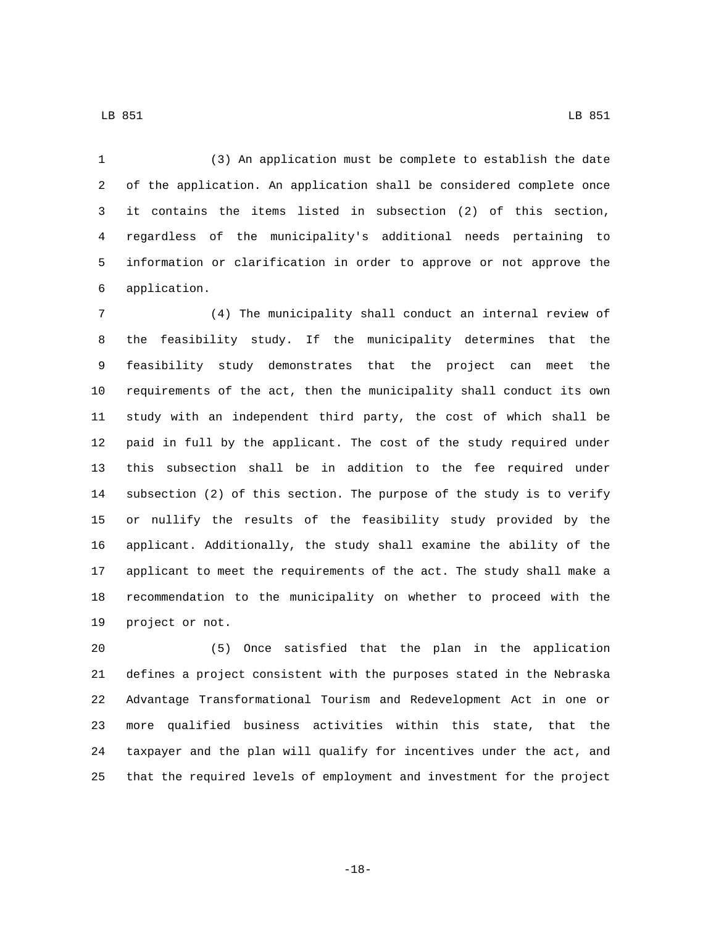(3) An application must be complete to establish the date of the application. An application shall be considered complete once it contains the items listed in subsection (2) of this section, regardless of the municipality's additional needs pertaining to information or clarification in order to approve or not approve the application.6

 (4) The municipality shall conduct an internal review of the feasibility study. If the municipality determines that the feasibility study demonstrates that the project can meet the requirements of the act, then the municipality shall conduct its own study with an independent third party, the cost of which shall be paid in full by the applicant. The cost of the study required under this subsection shall be in addition to the fee required under subsection (2) of this section. The purpose of the study is to verify or nullify the results of the feasibility study provided by the applicant. Additionally, the study shall examine the ability of the applicant to meet the requirements of the act. The study shall make a recommendation to the municipality on whether to proceed with the 19 project or not.

 (5) Once satisfied that the plan in the application defines a project consistent with the purposes stated in the Nebraska Advantage Transformational Tourism and Redevelopment Act in one or more qualified business activities within this state, that the taxpayer and the plan will qualify for incentives under the act, and that the required levels of employment and investment for the project

LB 851 LB 951

-18-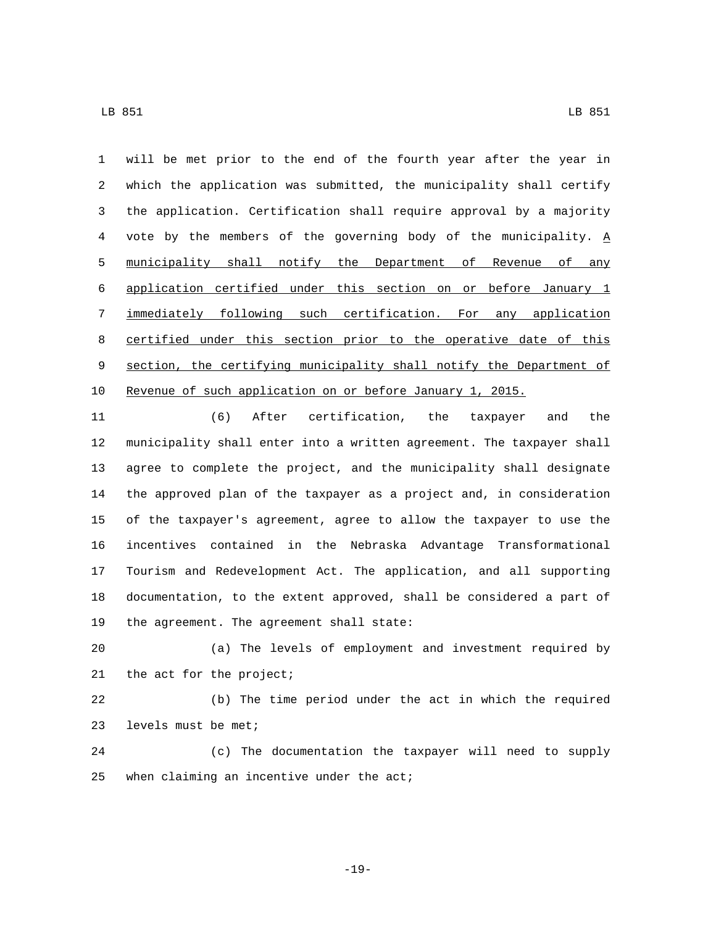LB 851 LB 851

 will be met prior to the end of the fourth year after the year in which the application was submitted, the municipality shall certify the application. Certification shall require approval by a majority vote by the members of the governing body of the municipality. A municipality shall notify the Department of Revenue of any application certified under this section on or before January 1 immediately following such certification. For any application certified under this section prior to the operative date of this section, the certifying municipality shall notify the Department of Revenue of such application on or before January 1, 2015.

 (6) After certification, the taxpayer and the municipality shall enter into a written agreement. The taxpayer shall agree to complete the project, and the municipality shall designate the approved plan of the taxpayer as a project and, in consideration of the taxpayer's agreement, agree to allow the taxpayer to use the incentives contained in the Nebraska Advantage Transformational Tourism and Redevelopment Act. The application, and all supporting documentation, to the extent approved, shall be considered a part of 19 the agreement. The agreement shall state:

 (a) The levels of employment and investment required by 21 the act for the project;

 (b) The time period under the act in which the required 23 levels must be met;

 (c) The documentation the taxpayer will need to supply when claiming an incentive under the act;

-19-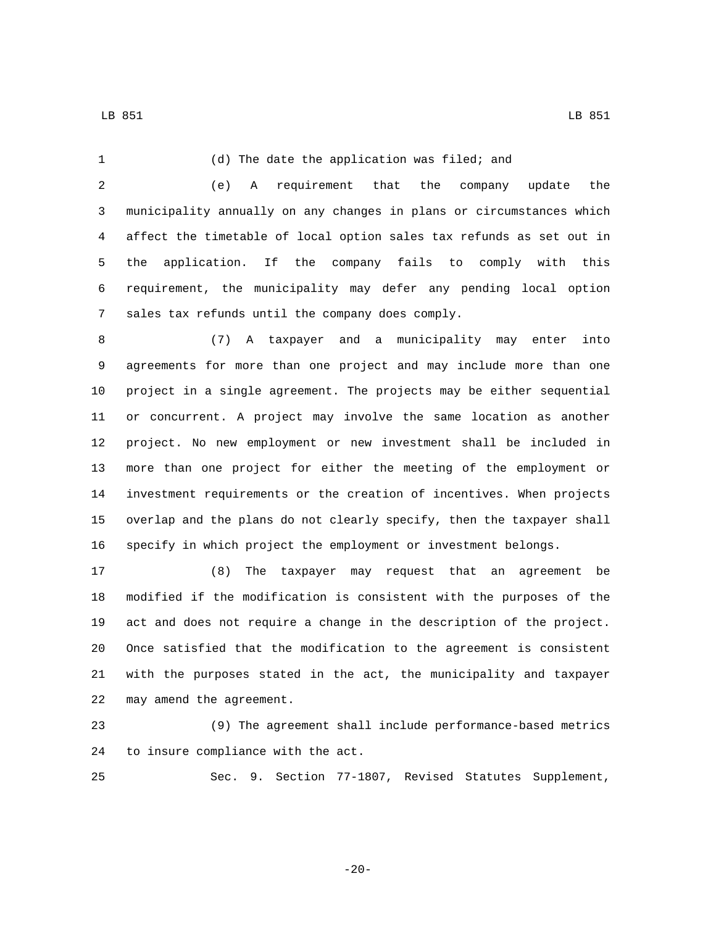(d) The date the application was filed; and (e) A requirement that the company update the municipality annually on any changes in plans or circumstances which affect the timetable of local option sales tax refunds as set out in the application. If the company fails to comply with this requirement, the municipality may defer any pending local option 7 sales tax refunds until the company does comply. (7) A taxpayer and a municipality may enter into agreements for more than one project and may include more than one project in a single agreement. The projects may be either sequential or concurrent. A project may involve the same location as another project. No new employment or new investment shall be included in more than one project for either the meeting of the employment or investment requirements or the creation of incentives. When projects overlap and the plans do not clearly specify, then the taxpayer shall specify in which project the employment or investment belongs. (8) The taxpayer may request that an agreement be modified if the modification is consistent with the purposes of the

 act and does not require a change in the description of the project. Once satisfied that the modification to the agreement is consistent with the purposes stated in the act, the municipality and taxpayer 22 may amend the agreement.

 (9) The agreement shall include performance-based metrics 24 to insure compliance with the act.

Sec. 9. Section 77-1807, Revised Statutes Supplement,

-20-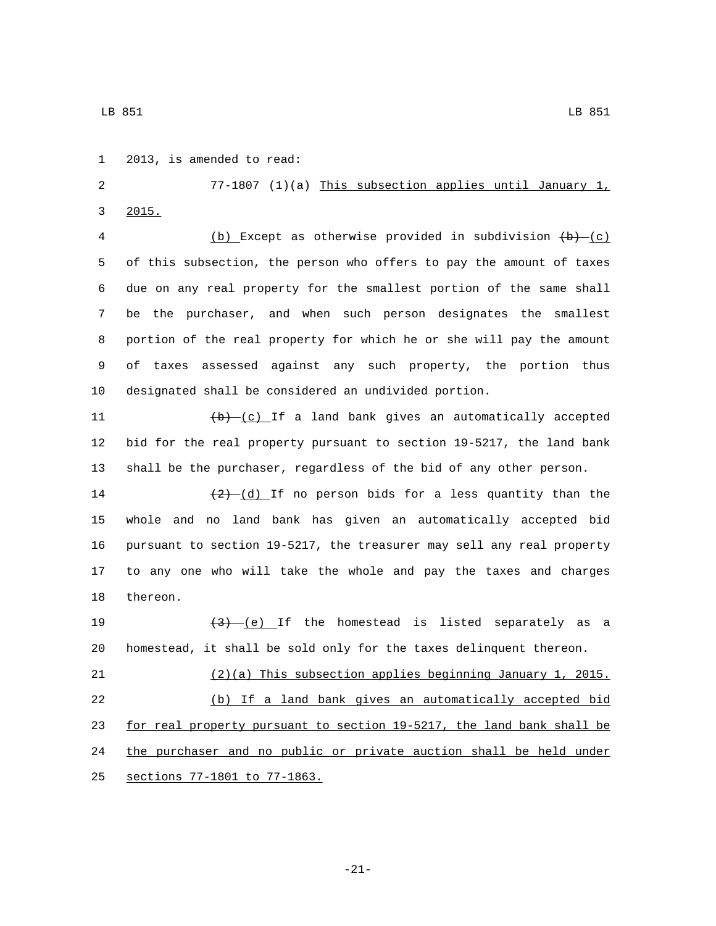3 2015.

1 2013, is amended to read:

LB 851 LB 851

 due on any real property for the smallest portion of the same shall be the purchaser, and when such person designates the smallest portion of the real property for which he or she will pay the amount of taxes assessed against any such property, the portion thus designated shall be considered an undivided portion.  $\left(\frac{b}{c}\right)^{r}$  (c) If a land bank gives an automatically accepted bid for the real property pursuant to section 19-5217, the land bank shall be the purchaser, regardless of the bid of any other person.  $\frac{(2)-(d)}{1}$  If no person bids for a less quantity than the whole and no land bank has given an automatically accepted bid pursuant to section 19-5217, the treasurer may sell any real property to any one who will take the whole and pay the taxes and charges 18 thereon.  $\left(3\right)$   $\left(2\right)$  and  $\left(3\right)$  if the homestead is listed separately as a homestead, it shall be sold only for the taxes delinquent thereon. (2)(a) This subsection applies beginning January 1, 2015. (b) If a land bank gives an automatically accepted bid for real property pursuant to section 19-5217, the land bank shall be the purchaser and no public or private auction shall be held under 25 sections 77-1801 to 77-1863.

77-1807 (1)(a) This subsection applies until January 1,

4 (b) Except as otherwise provided in subdivision  $(b)$   $(c)$ 

of this subsection, the person who offers to pay the amount of taxes

-21-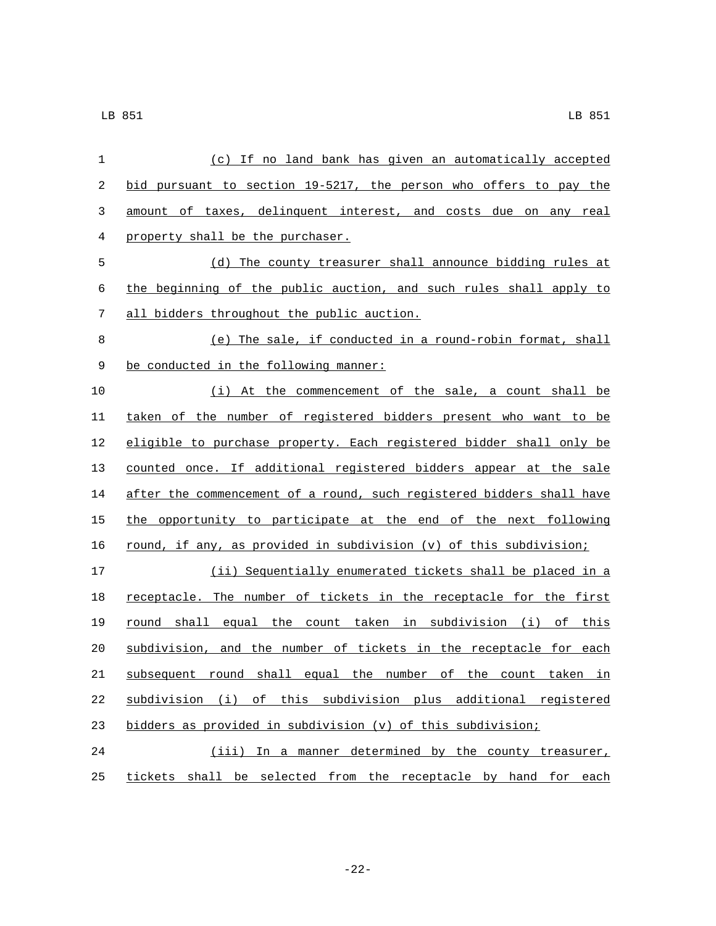| 1  | (c) If no land bank has given an automatically accepted               |
|----|-----------------------------------------------------------------------|
| 2  | bid pursuant to section 19-5217, the person who offers to pay the     |
| 3  | amount of taxes, delinquent interest, and costs due on any real       |
| 4  | property shall be the purchaser.                                      |
| 5  | (d) The county treasurer shall announce bidding rules at              |
| 6  | the beginning of the public auction, and such rules shall apply to    |
| 7  | all bidders throughout the public auction.                            |
| 8  | (e) The sale, if conducted in a round-robin format, shall             |
| 9  | be conducted in the following manner:                                 |
| 10 | (i) At the commencement of the sale, a count shall be                 |
| 11 | taken of the number of registered bidders present who want to be      |
| 12 | eligible to purchase property. Each registered bidder shall only be   |
| 13 | counted once. If additional registered bidders appear at the sale     |
| 14 | after the commencement of a round, such registered bidders shall have |
| 15 | the opportunity to participate at the end of the next following       |
| 16 | round, if any, as provided in subdivision (v) of this subdivision;    |
| 17 | (ii) Sequentially enumerated tickets shall be placed in a             |
| 18 | receptacle. The number of tickets in the receptacle for the first     |
| 19 | round shall equal the count taken in subdivision (i) of this          |
| 20 | subdivision, and the number of tickets in the receptacle for each     |
| 21 | subsequent round shall equal the number of the count taken in         |
| 22 | subdivision (i) of this subdivision plus additional registered        |
| 23 | bidders as provided in subdivision (v) of this subdivision;           |
| 24 | (iii) In a manner determined by the county treasurer,                 |
| 25 | tickets shall be selected from the receptacle by hand for each        |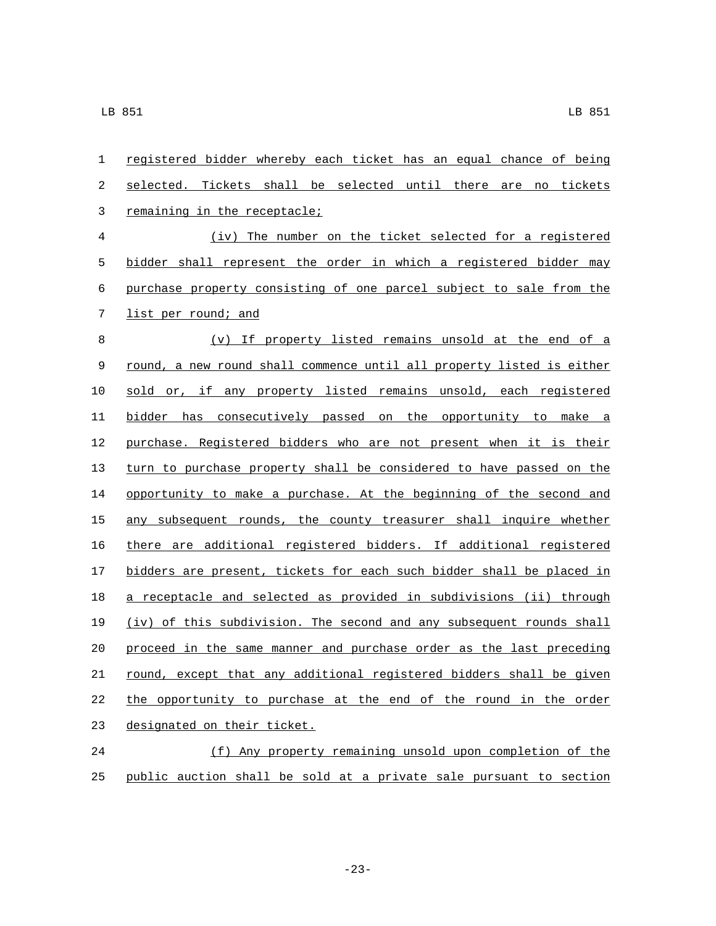| $\mathbf{1}$   | registered bidder whereby each ticket has an equal chance of being    |
|----------------|-----------------------------------------------------------------------|
| 2              | selected. Tickets shall be selected until there are no tickets        |
| $\mathbf{3}$   | remaining in the receptacle;                                          |
| $\overline{4}$ | (iv) The number on the ticket selected for a registered               |
| 5              | bidder shall represent the order in which a registered bidder may     |
| 6              | purchase property consisting of one parcel subject to sale from the   |
| 7              | list per round; and                                                   |
| $\,8\,$        | (v) If property listed remains unsold at the end of a                 |
| $\mathsf 9$    | round, a new round shall commence until all property listed is either |
| 10             | sold or, if any property listed remains unsold, each registered       |
| 11             | bidder has consecutively passed on the opportunity to make a          |
| 12             | purchase. Registered bidders who are not present when it is their     |
| 13             | turn to purchase property shall be considered to have passed on the   |
| 14             | opportunity to make a purchase. At the beginning of the second and    |
| 15             | any subsequent rounds, the county treasurer shall inquire whether     |
| 16             | there are additional registered bidders. If additional registered     |
| 17             | bidders are present, tickets for each such bidder shall be placed in  |
| 18             | a receptacle and selected as provided in subdivisions (ii) through    |
| 19             | (iv) of this subdivision. The second and any subsequent rounds shall  |
| 20             | proceed in the same manner and purchase order as the last preceding   |
| 21             | round, except that any additional registered bidders shall be given   |
| 22             | the opportunity to purchase at the end of the round in the order      |
| 23             | designated on their ticket.                                           |
| 24             | (f) Any property remaining unsold upon completion of the              |
|                |                                                                       |

public auction shall be sold at a private sale pursuant to section

-23-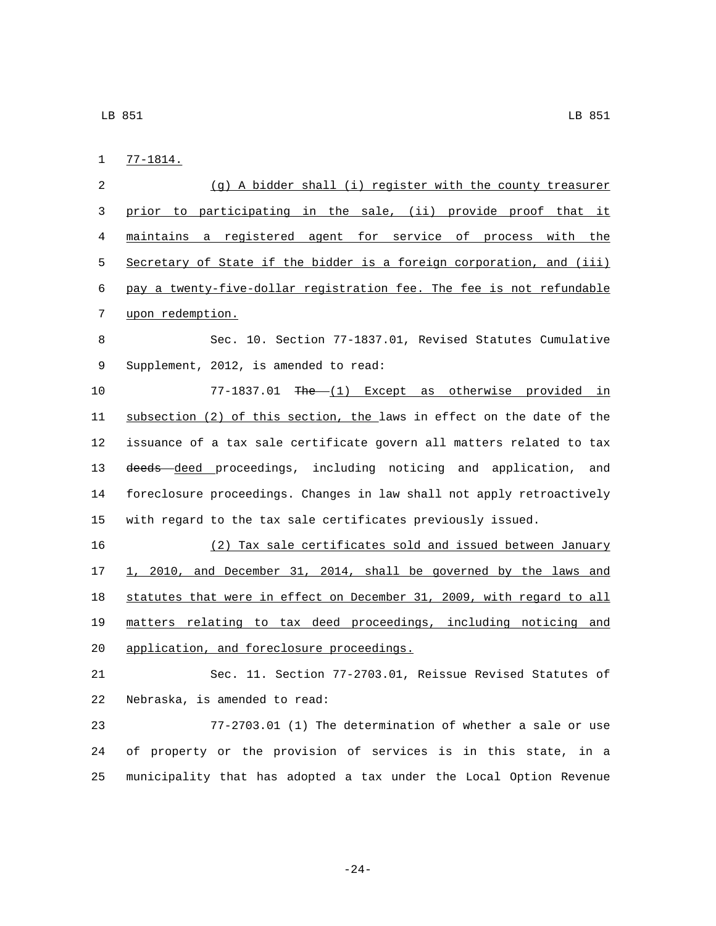$1 \quad 77-1814.$ 

 (g) A bidder shall (i) register with the county treasurer prior to participating in the sale, (ii) provide proof that it maintains a registered agent for service of process with the Secretary of State if the bidder is a foreign corporation, and (iii) pay a twenty-five-dollar registration fee. The fee is not refundable 7 upon redemption. Sec. 10. Section 77-1837.01, Revised Statutes Cumulative 9 Supplement, 2012, is amended to read: 10 77-1837.01 The (1) Except as otherwise provided in subsection (2) of this section, the laws in effect on the date of the issuance of a tax sale certificate govern all matters related to tax 13 <del>deeds deed</del> proceedings, including noticing and application, and foreclosure proceedings. Changes in law shall not apply retroactively with regard to the tax sale certificates previously issued. (2) Tax sale certificates sold and issued between January 1, 2010, and December 31, 2014, shall be governed by the laws and statutes that were in effect on December 31, 2009, with regard to all matters relating to tax deed proceedings, including noticing and

20 application, and foreclosure proceedings.

 Sec. 11. Section 77-2703.01, Reissue Revised Statutes of 22 Nebraska, is amended to read:

 77-2703.01 (1) The determination of whether a sale or use of property or the provision of services is in this state, in a municipality that has adopted a tax under the Local Option Revenue

-24-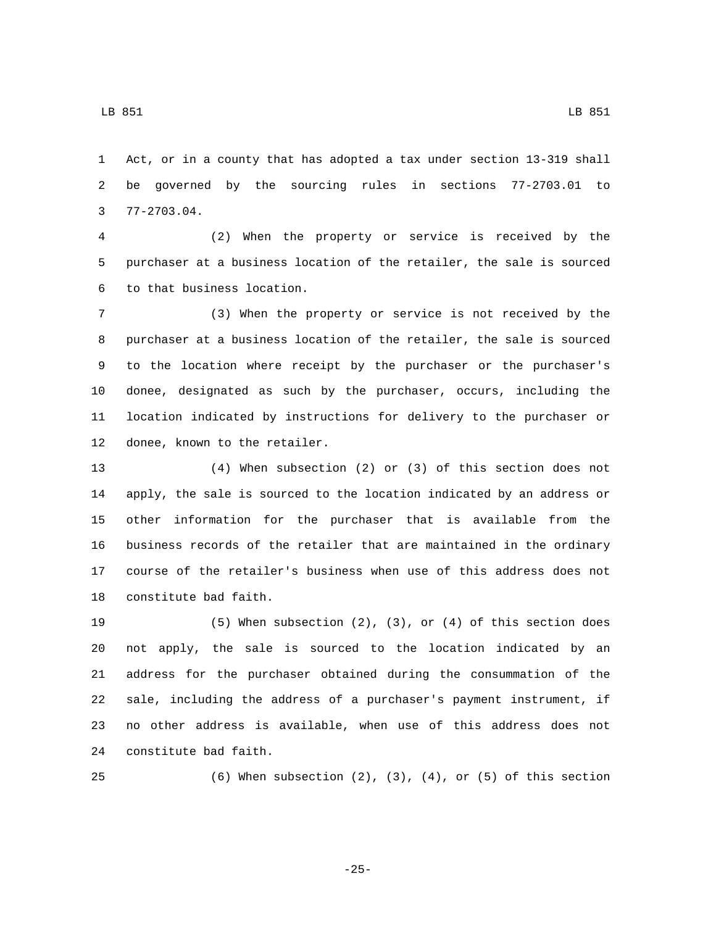LB 851 LB 851

 Act, or in a county that has adopted a tax under section 13-319 shall be governed by the sourcing rules in sections 77-2703.01 to  $3 \quad 77-2703.04.$ 

 (2) When the property or service is received by the purchaser at a business location of the retailer, the sale is sourced 6 to that business location.

 (3) When the property or service is not received by the purchaser at a business location of the retailer, the sale is sourced to the location where receipt by the purchaser or the purchaser's donee, designated as such by the purchaser, occurs, including the location indicated by instructions for delivery to the purchaser or 12 donee, known to the retailer.

 (4) When subsection (2) or (3) of this section does not apply, the sale is sourced to the location indicated by an address or other information for the purchaser that is available from the business records of the retailer that are maintained in the ordinary course of the retailer's business when use of this address does not 18 constitute bad faith.

 (5) When subsection (2), (3), or (4) of this section does not apply, the sale is sourced to the location indicated by an address for the purchaser obtained during the consummation of the sale, including the address of a purchaser's payment instrument, if no other address is available, when use of this address does not 24 constitute bad faith.

(6) When subsection (2), (3), (4), or (5) of this section

-25-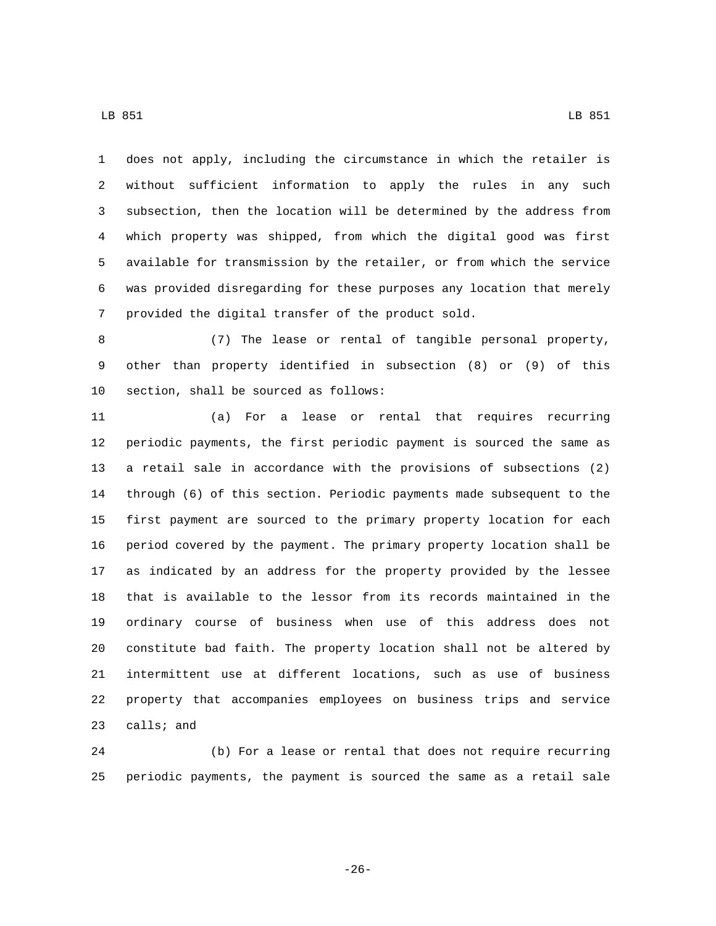does not apply, including the circumstance in which the retailer is without sufficient information to apply the rules in any such subsection, then the location will be determined by the address from which property was shipped, from which the digital good was first available for transmission by the retailer, or from which the service was provided disregarding for these purposes any location that merely 7 provided the digital transfer of the product sold.

 (7) The lease or rental of tangible personal property, other than property identified in subsection (8) or (9) of this 10 section, shall be sourced as follows:

 (a) For a lease or rental that requires recurring periodic payments, the first periodic payment is sourced the same as a retail sale in accordance with the provisions of subsections (2) through (6) of this section. Periodic payments made subsequent to the first payment are sourced to the primary property location for each period covered by the payment. The primary property location shall be as indicated by an address for the property provided by the lessee that is available to the lessor from its records maintained in the ordinary course of business when use of this address does not constitute bad faith. The property location shall not be altered by intermittent use at different locations, such as use of business property that accompanies employees on business trips and service calls; and

 (b) For a lease or rental that does not require recurring periodic payments, the payment is sourced the same as a retail sale

-26-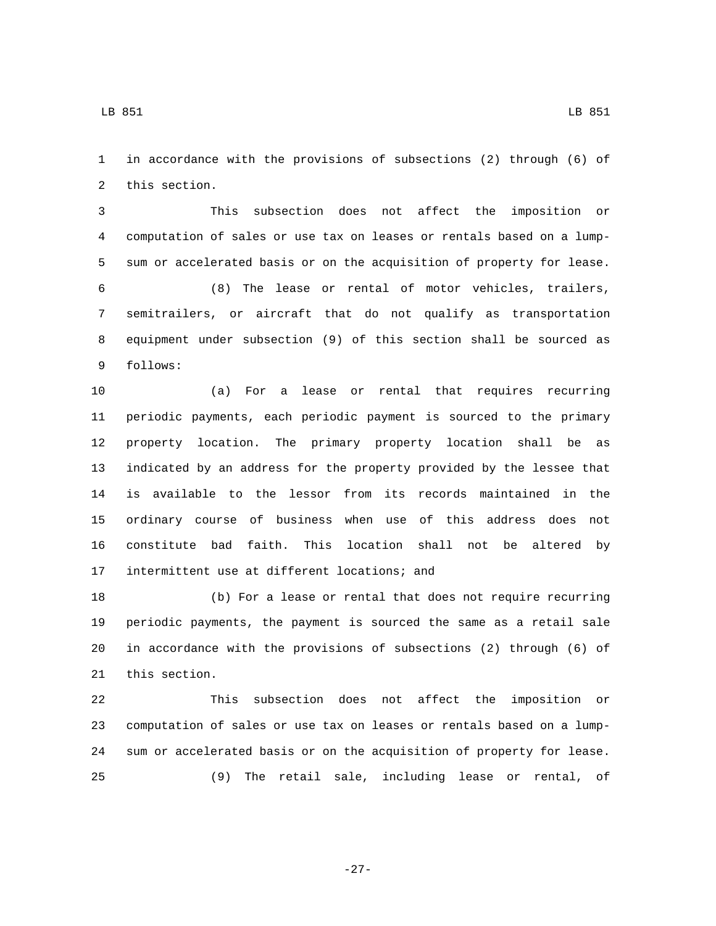in accordance with the provisions of subsections (2) through (6) of 2 this section.

 This subsection does not affect the imposition or computation of sales or use tax on leases or rentals based on a lump-sum or accelerated basis or on the acquisition of property for lease.

 (8) The lease or rental of motor vehicles, trailers, semitrailers, or aircraft that do not qualify as transportation equipment under subsection (9) of this section shall be sourced as 9 follows:

 (a) For a lease or rental that requires recurring periodic payments, each periodic payment is sourced to the primary property location. The primary property location shall be as indicated by an address for the property provided by the lessee that is available to the lessor from its records maintained in the ordinary course of business when use of this address does not constitute bad faith. This location shall not be altered by 17 intermittent use at different locations; and

 (b) For a lease or rental that does not require recurring periodic payments, the payment is sourced the same as a retail sale in accordance with the provisions of subsections (2) through (6) of 21 this section.

 This subsection does not affect the imposition or computation of sales or use tax on leases or rentals based on a lump- sum or accelerated basis or on the acquisition of property for lease. (9) The retail sale, including lease or rental, of

-27-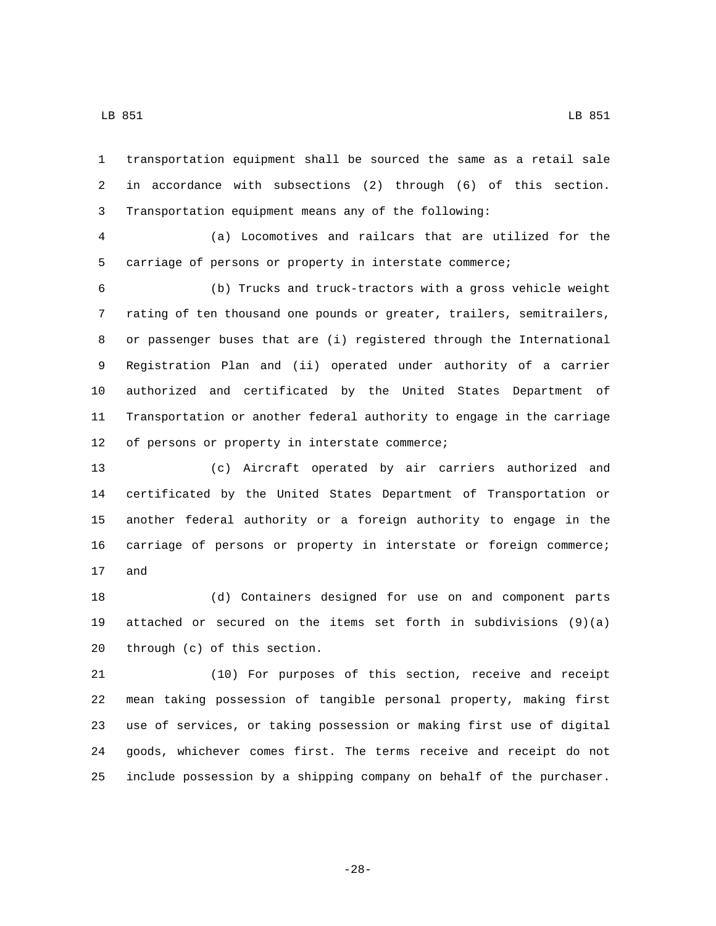transportation equipment shall be sourced the same as a retail sale

 in accordance with subsections (2) through (6) of this section. Transportation equipment means any of the following:

 (a) Locomotives and railcars that are utilized for the carriage of persons or property in interstate commerce;

 (b) Trucks and truck-tractors with a gross vehicle weight rating of ten thousand one pounds or greater, trailers, semitrailers, or passenger buses that are (i) registered through the International Registration Plan and (ii) operated under authority of a carrier authorized and certificated by the United States Department of Transportation or another federal authority to engage in the carriage 12 of persons or property in interstate commerce;

 (c) Aircraft operated by air carriers authorized and certificated by the United States Department of Transportation or another federal authority or a foreign authority to engage in the carriage of persons or property in interstate or foreign commerce; 17 and

 (d) Containers designed for use on and component parts attached or secured on the items set forth in subdivisions (9)(a) through  $(c)$  of this section.

 (10) For purposes of this section, receive and receipt mean taking possession of tangible personal property, making first use of services, or taking possession or making first use of digital goods, whichever comes first. The terms receive and receipt do not include possession by a shipping company on behalf of the purchaser.

-28-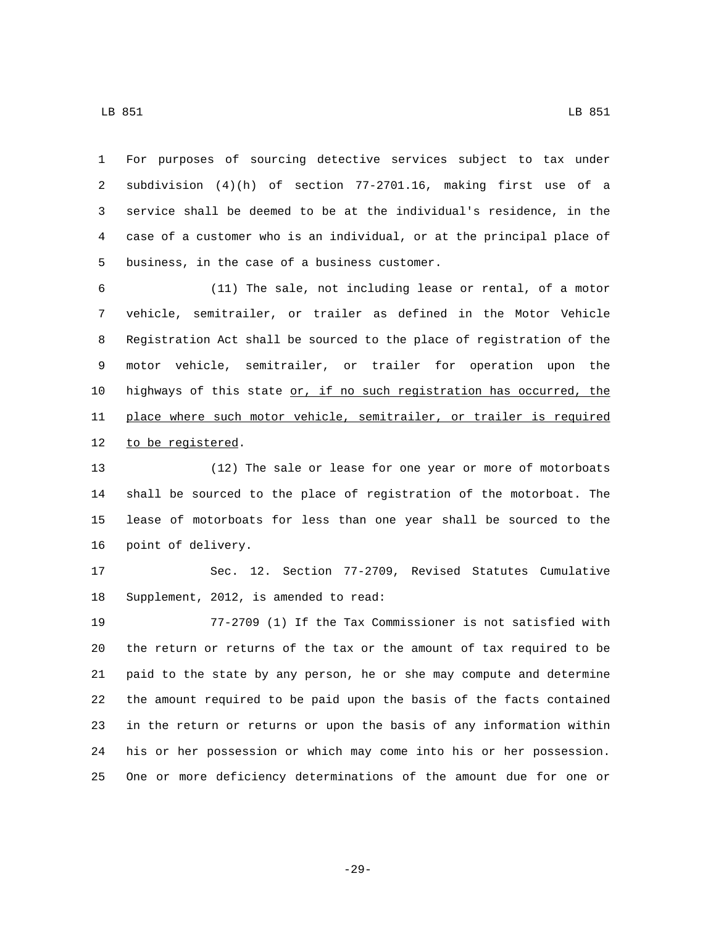For purposes of sourcing detective services subject to tax under subdivision (4)(h) of section 77-2701.16, making first use of a service shall be deemed to be at the individual's residence, in the case of a customer who is an individual, or at the principal place of 5 business, in the case of a business customer.

 (11) The sale, not including lease or rental, of a motor vehicle, semitrailer, or trailer as defined in the Motor Vehicle Registration Act shall be sourced to the place of registration of the motor vehicle, semitrailer, or trailer for operation upon the highways of this state or, if no such registration has occurred, the place where such motor vehicle, semitrailer, or trailer is required 12 to be registered.

 (12) The sale or lease for one year or more of motorboats shall be sourced to the place of registration of the motorboat. The lease of motorboats for less than one year shall be sourced to the 16 point of delivery.

 Sec. 12. Section 77-2709, Revised Statutes Cumulative 18 Supplement, 2012, is amended to read:

 77-2709 (1) If the Tax Commissioner is not satisfied with the return or returns of the tax or the amount of tax required to be paid to the state by any person, he or she may compute and determine the amount required to be paid upon the basis of the facts contained in the return or returns or upon the basis of any information within his or her possession or which may come into his or her possession. One or more deficiency determinations of the amount due for one or

-29-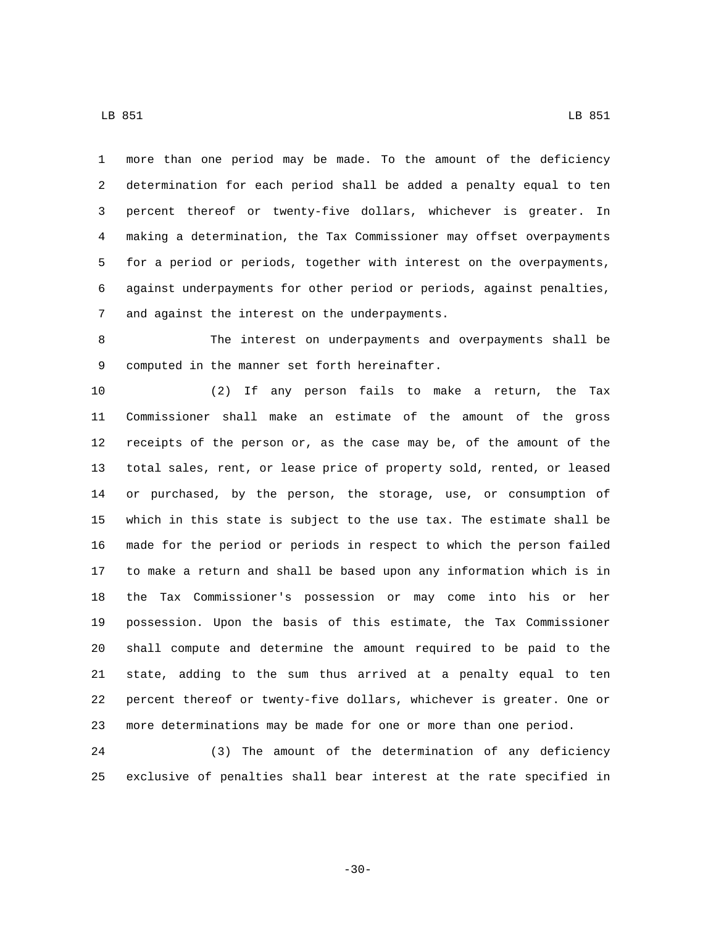LB 851 LB 951

 more than one period may be made. To the amount of the deficiency determination for each period shall be added a penalty equal to ten percent thereof or twenty-five dollars, whichever is greater. In making a determination, the Tax Commissioner may offset overpayments for a period or periods, together with interest on the overpayments, against underpayments for other period or periods, against penalties, 7 and against the interest on the underpayments.

 The interest on underpayments and overpayments shall be 9 computed in the manner set forth hereinafter.

 (2) If any person fails to make a return, the Tax Commissioner shall make an estimate of the amount of the gross receipts of the person or, as the case may be, of the amount of the total sales, rent, or lease price of property sold, rented, or leased or purchased, by the person, the storage, use, or consumption of which in this state is subject to the use tax. The estimate shall be made for the period or periods in respect to which the person failed to make a return and shall be based upon any information which is in the Tax Commissioner's possession or may come into his or her possession. Upon the basis of this estimate, the Tax Commissioner shall compute and determine the amount required to be paid to the state, adding to the sum thus arrived at a penalty equal to ten percent thereof or twenty-five dollars, whichever is greater. One or more determinations may be made for one or more than one period.

 (3) The amount of the determination of any deficiency exclusive of penalties shall bear interest at the rate specified in

-30-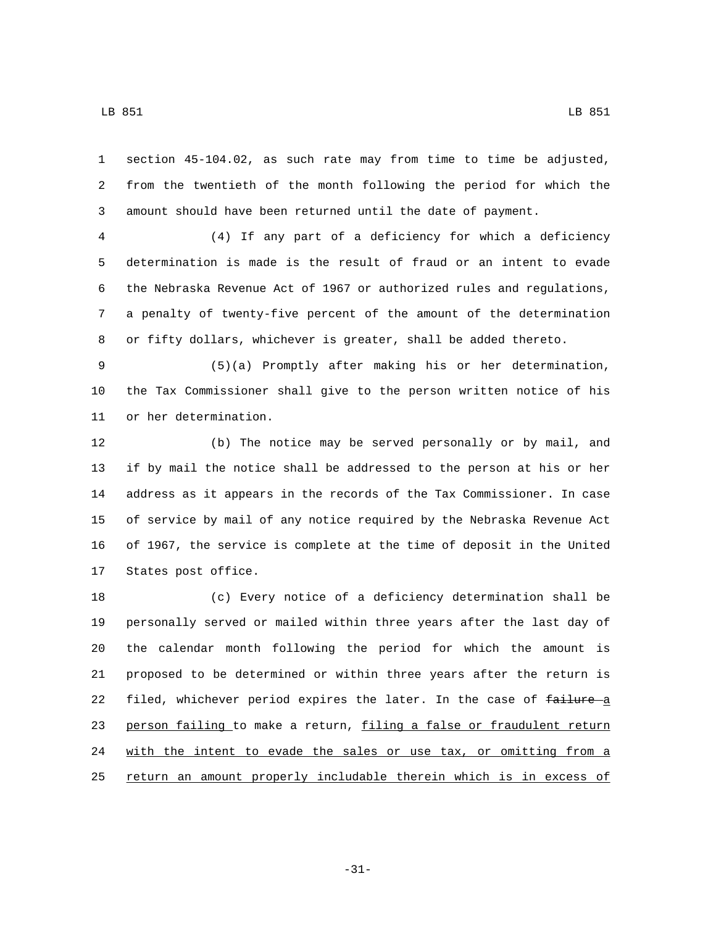section 45-104.02, as such rate may from time to time be adjusted, from the twentieth of the month following the period for which the amount should have been returned until the date of payment.

 (4) If any part of a deficiency for which a deficiency determination is made is the result of fraud or an intent to evade the Nebraska Revenue Act of 1967 or authorized rules and regulations, a penalty of twenty-five percent of the amount of the determination or fifty dollars, whichever is greater, shall be added thereto.

 (5)(a) Promptly after making his or her determination, the Tax Commissioner shall give to the person written notice of his 11 or her determination.

 (b) The notice may be served personally or by mail, and if by mail the notice shall be addressed to the person at his or her address as it appears in the records of the Tax Commissioner. In case of service by mail of any notice required by the Nebraska Revenue Act of 1967, the service is complete at the time of deposit in the United 17 States post office.

 (c) Every notice of a deficiency determination shall be personally served or mailed within three years after the last day of the calendar month following the period for which the amount is proposed to be determined or within three years after the return is 22 filed, whichever period expires the later. In the case of failure a 23 person failing to make a return, filing a false or fraudulent return 24 with the intent to evade the sales or use tax, or omitting from a return an amount properly includable therein which is in excess of

-31-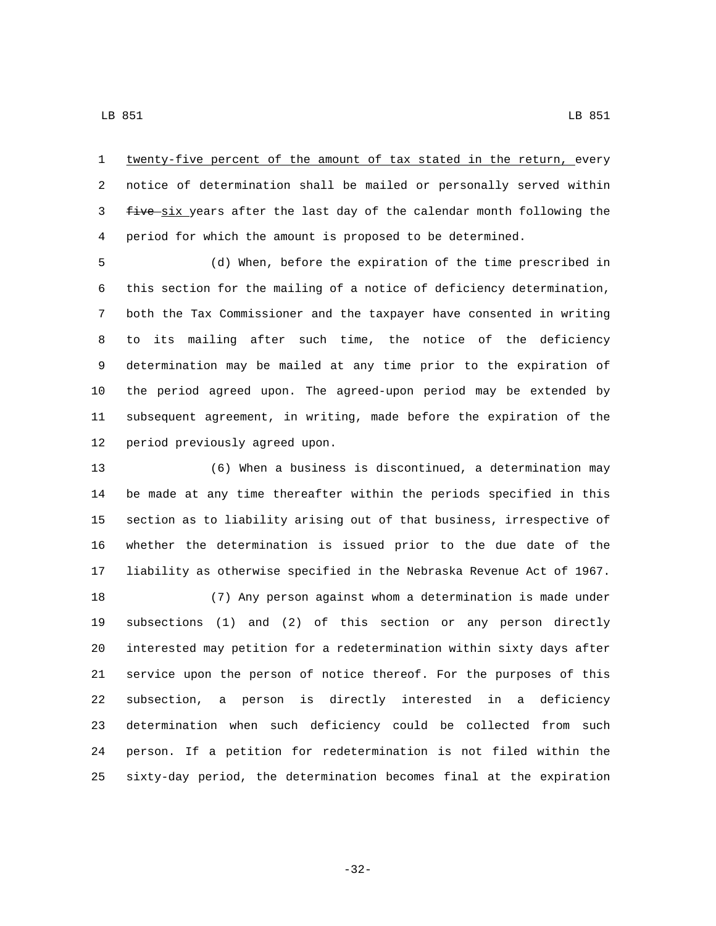twenty-five percent of the amount of tax stated in the return, every notice of determination shall be mailed or personally served within 3 five six years after the last day of the calendar month following the period for which the amount is proposed to be determined.

 (d) When, before the expiration of the time prescribed in this section for the mailing of a notice of deficiency determination, both the Tax Commissioner and the taxpayer have consented in writing to its mailing after such time, the notice of the deficiency determination may be mailed at any time prior to the expiration of the period agreed upon. The agreed-upon period may be extended by subsequent agreement, in writing, made before the expiration of the 12 period previously agreed upon.

 (6) When a business is discontinued, a determination may be made at any time thereafter within the periods specified in this section as to liability arising out of that business, irrespective of whether the determination is issued prior to the due date of the liability as otherwise specified in the Nebraska Revenue Act of 1967. (7) Any person against whom a determination is made under subsections (1) and (2) of this section or any person directly interested may petition for a redetermination within sixty days after service upon the person of notice thereof. For the purposes of this subsection, a person is directly interested in a deficiency determination when such deficiency could be collected from such person. If a petition for redetermination is not filed within the sixty-day period, the determination becomes final at the expiration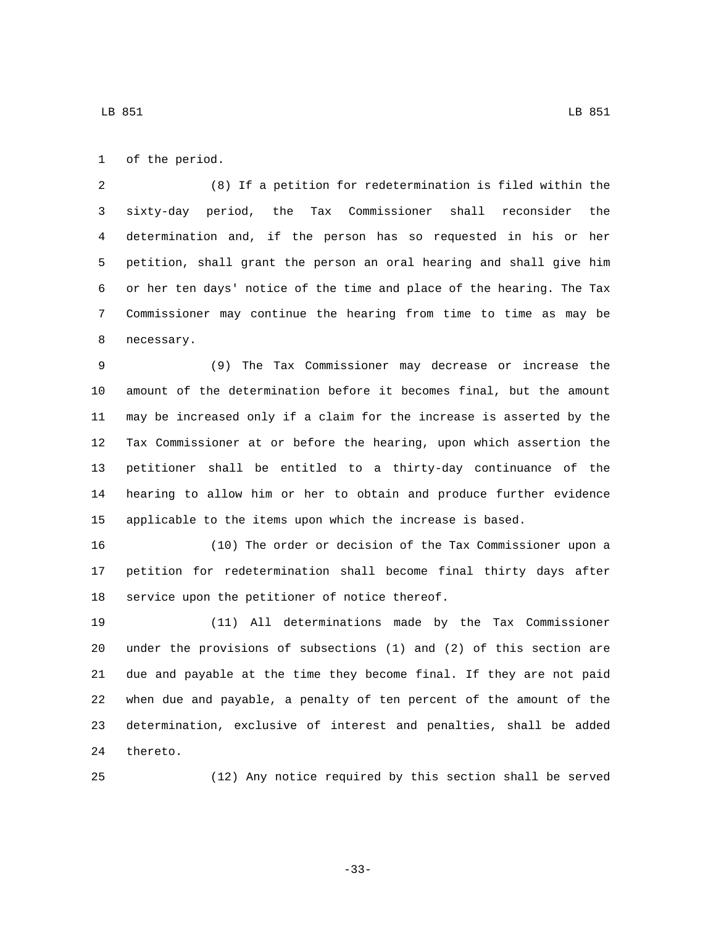1 of the period.

 (8) If a petition for redetermination is filed within the sixty-day period, the Tax Commissioner shall reconsider the determination and, if the person has so requested in his or her petition, shall grant the person an oral hearing and shall give him or her ten days' notice of the time and place of the hearing. The Tax Commissioner may continue the hearing from time to time as may be 8 necessary.

 (9) The Tax Commissioner may decrease or increase the amount of the determination before it becomes final, but the amount may be increased only if a claim for the increase is asserted by the Tax Commissioner at or before the hearing, upon which assertion the petitioner shall be entitled to a thirty-day continuance of the hearing to allow him or her to obtain and produce further evidence applicable to the items upon which the increase is based.

 (10) The order or decision of the Tax Commissioner upon a petition for redetermination shall become final thirty days after 18 service upon the petitioner of notice thereof.

 (11) All determinations made by the Tax Commissioner under the provisions of subsections (1) and (2) of this section are due and payable at the time they become final. If they are not paid when due and payable, a penalty of ten percent of the amount of the determination, exclusive of interest and penalties, shall be added 24 thereto.

(12) Any notice required by this section shall be served

-33-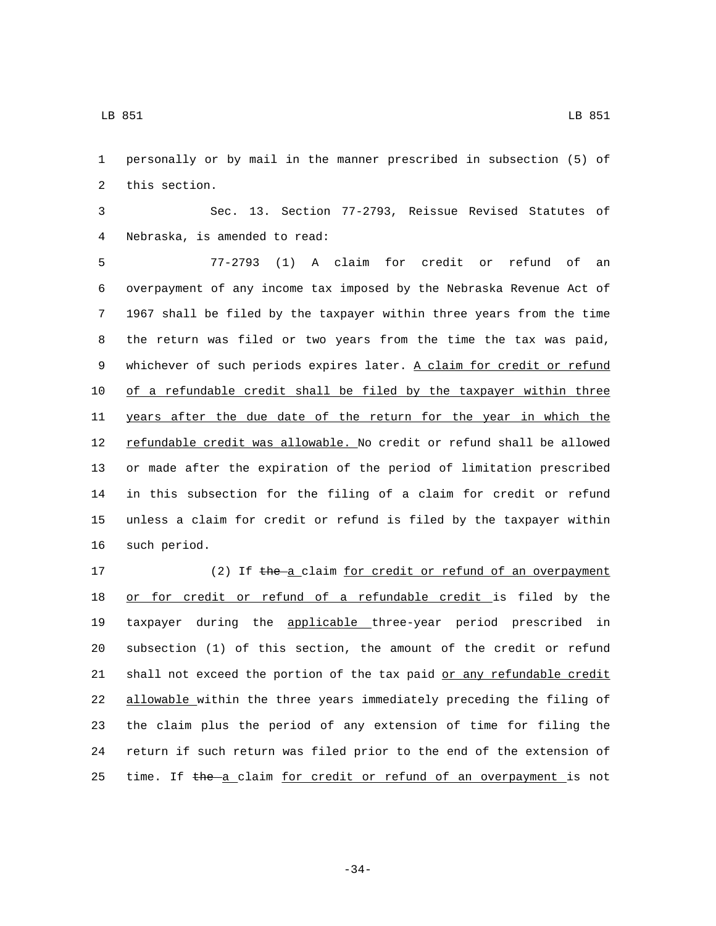LB 851 LB 951

1 personally or by mail in the manner prescribed in subsection (5) of 2 this section.

3 Sec. 13. Section 77-2793, Reissue Revised Statutes of Nebraska, is amended to read:4

 77-2793 (1) A claim for credit or refund of an overpayment of any income tax imposed by the Nebraska Revenue Act of 1967 shall be filed by the taxpayer within three years from the time the return was filed or two years from the time the tax was paid, 9 whichever of such periods expires later. A claim for credit or refund of a refundable credit shall be filed by the taxpayer within three 11 years after the due date of the return for the year in which the 12 refundable credit was allowable. No credit or refund shall be allowed or made after the expiration of the period of limitation prescribed in this subsection for the filing of a claim for credit or refund unless a claim for credit or refund is filed by the taxpayer within 16 such period.

17 (2) If the a claim for credit or refund of an overpayment or for credit or refund of a refundable credit is filed by the taxpayer during the applicable three-year period prescribed in subsection (1) of this section, the amount of the credit or refund 21 shall not exceed the portion of the tax paid or any refundable credit allowable within the three years immediately preceding the filing of the claim plus the period of any extension of time for filing the return if such return was filed prior to the end of the extension of 25 time. If the a claim for credit or refund of an overpayment is not

-34-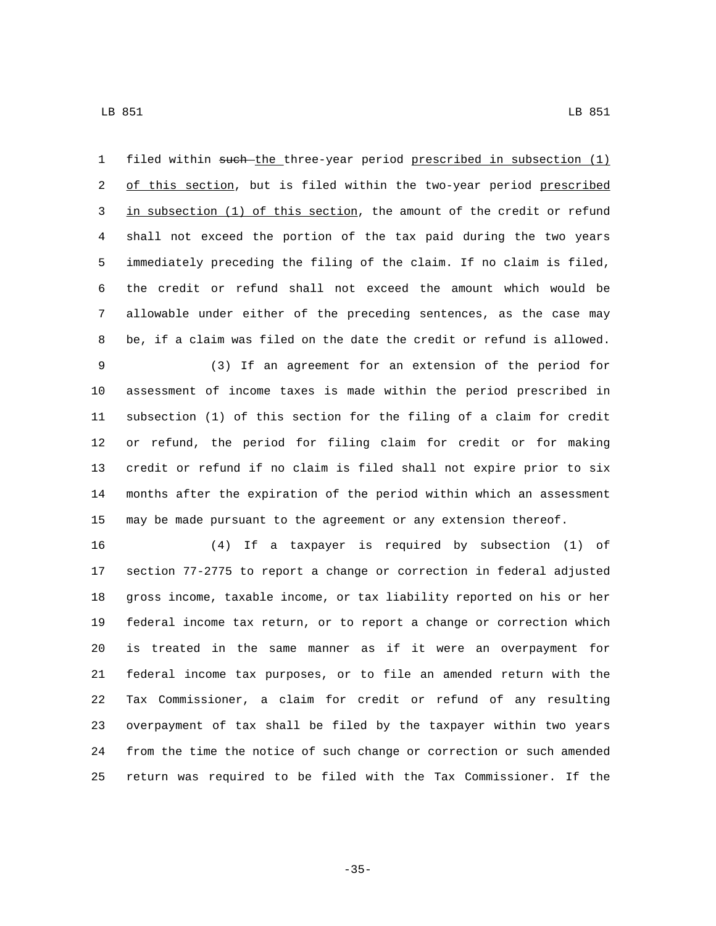filed within such the three-year period prescribed in subsection (1) 2 of this section, but is filed within the two-year period prescribed 3 in subsection (1) of this section, the amount of the credit or refund shall not exceed the portion of the tax paid during the two years immediately preceding the filing of the claim. If no claim is filed, the credit or refund shall not exceed the amount which would be allowable under either of the preceding sentences, as the case may be, if a claim was filed on the date the credit or refund is allowed.

 (3) If an agreement for an extension of the period for assessment of income taxes is made within the period prescribed in subsection (1) of this section for the filing of a claim for credit or refund, the period for filing claim for credit or for making credit or refund if no claim is filed shall not expire prior to six months after the expiration of the period within which an assessment may be made pursuant to the agreement or any extension thereof.

 (4) If a taxpayer is required by subsection (1) of section 77-2775 to report a change or correction in federal adjusted gross income, taxable income, or tax liability reported on his or her federal income tax return, or to report a change or correction which is treated in the same manner as if it were an overpayment for federal income tax purposes, or to file an amended return with the Tax Commissioner, a claim for credit or refund of any resulting overpayment of tax shall be filed by the taxpayer within two years from the time the notice of such change or correction or such amended return was required to be filed with the Tax Commissioner. If the

-35-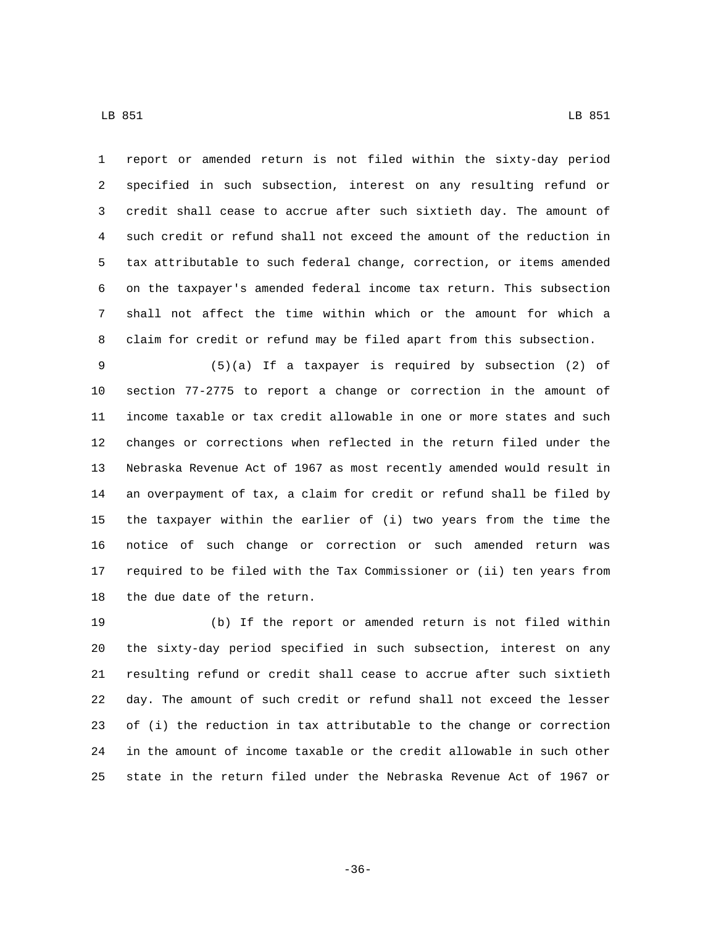LB 851 LB 951

 report or amended return is not filed within the sixty-day period specified in such subsection, interest on any resulting refund or credit shall cease to accrue after such sixtieth day. The amount of such credit or refund shall not exceed the amount of the reduction in tax attributable to such federal change, correction, or items amended on the taxpayer's amended federal income tax return. This subsection shall not affect the time within which or the amount for which a claim for credit or refund may be filed apart from this subsection.

 (5)(a) If a taxpayer is required by subsection (2) of section 77-2775 to report a change or correction in the amount of income taxable or tax credit allowable in one or more states and such changes or corrections when reflected in the return filed under the Nebraska Revenue Act of 1967 as most recently amended would result in an overpayment of tax, a claim for credit or refund shall be filed by the taxpayer within the earlier of (i) two years from the time the notice of such change or correction or such amended return was required to be filed with the Tax Commissioner or (ii) ten years from 18 the due date of the return.

 (b) If the report or amended return is not filed within the sixty-day period specified in such subsection, interest on any resulting refund or credit shall cease to accrue after such sixtieth day. The amount of such credit or refund shall not exceed the lesser of (i) the reduction in tax attributable to the change or correction in the amount of income taxable or the credit allowable in such other state in the return filed under the Nebraska Revenue Act of 1967 or

-36-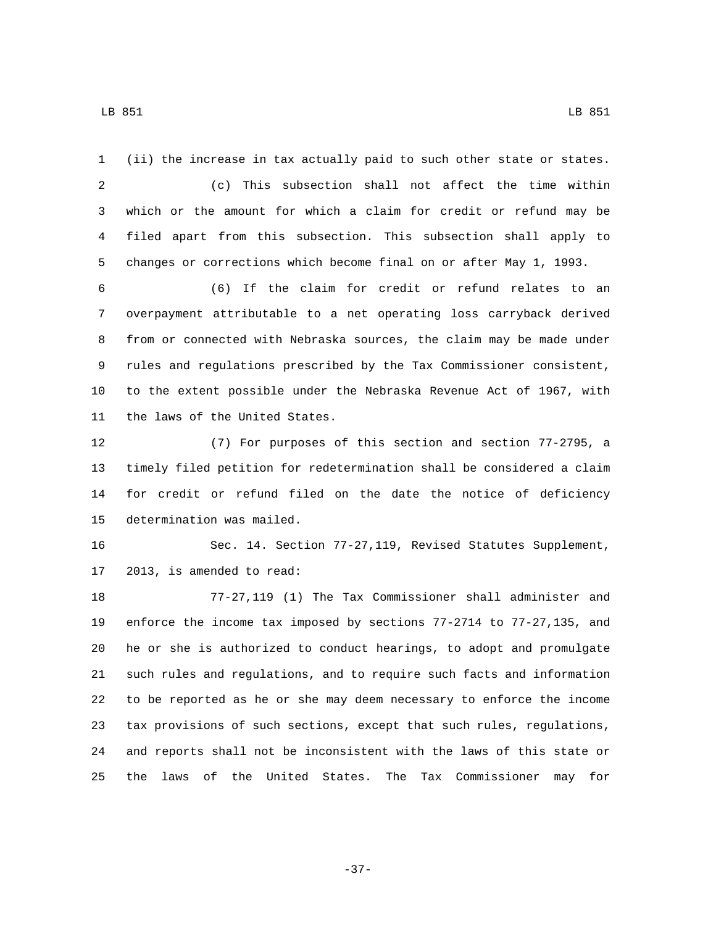(ii) the increase in tax actually paid to such other state or states. (c) This subsection shall not affect the time within which or the amount for which a claim for credit or refund may be filed apart from this subsection. This subsection shall apply to changes or corrections which become final on or after May 1, 1993. (6) If the claim for credit or refund relates to an overpayment attributable to a net operating loss carryback derived from or connected with Nebraska sources, the claim may be made under rules and regulations prescribed by the Tax Commissioner consistent, to the extent possible under the Nebraska Revenue Act of 1967, with 11 the laws of the United States. (7) For purposes of this section and section 77-2795, a timely filed petition for redetermination shall be considered a claim for credit or refund filed on the date the notice of deficiency 15 determination was mailed. Sec. 14. Section 77-27,119, Revised Statutes Supplement, 17 2013, is amended to read: 77-27,119 (1) The Tax Commissioner shall administer and enforce the income tax imposed by sections 77-2714 to 77-27,135, and he or she is authorized to conduct hearings, to adopt and promulgate

 such rules and regulations, and to require such facts and information to be reported as he or she may deem necessary to enforce the income tax provisions of such sections, except that such rules, regulations, and reports shall not be inconsistent with the laws of this state or the laws of the United States. The Tax Commissioner may for

-37-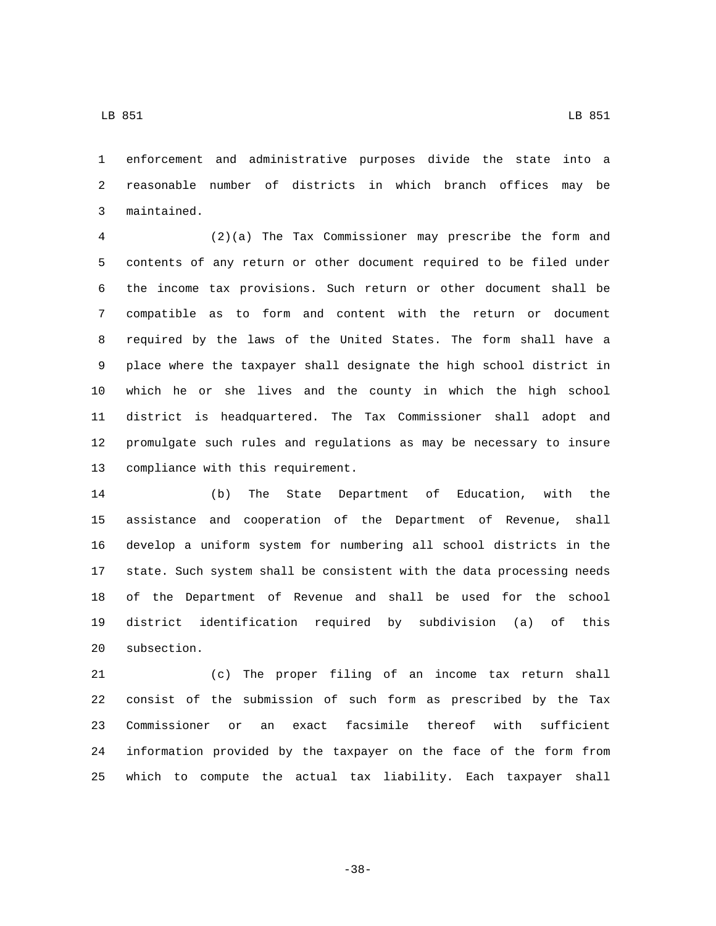enforcement and administrative purposes divide the state into a reasonable number of districts in which branch offices may be maintained.3

 (2)(a) The Tax Commissioner may prescribe the form and contents of any return or other document required to be filed under the income tax provisions. Such return or other document shall be compatible as to form and content with the return or document required by the laws of the United States. The form shall have a place where the taxpayer shall designate the high school district in which he or she lives and the county in which the high school district is headquartered. The Tax Commissioner shall adopt and promulgate such rules and regulations as may be necessary to insure 13 compliance with this requirement.

 (b) The State Department of Education, with the assistance and cooperation of the Department of Revenue, shall develop a uniform system for numbering all school districts in the state. Such system shall be consistent with the data processing needs of the Department of Revenue and shall be used for the school district identification required by subdivision (a) of this 20 subsection.

 (c) The proper filing of an income tax return shall consist of the submission of such form as prescribed by the Tax Commissioner or an exact facsimile thereof with sufficient information provided by the taxpayer on the face of the form from which to compute the actual tax liability. Each taxpayer shall

-38-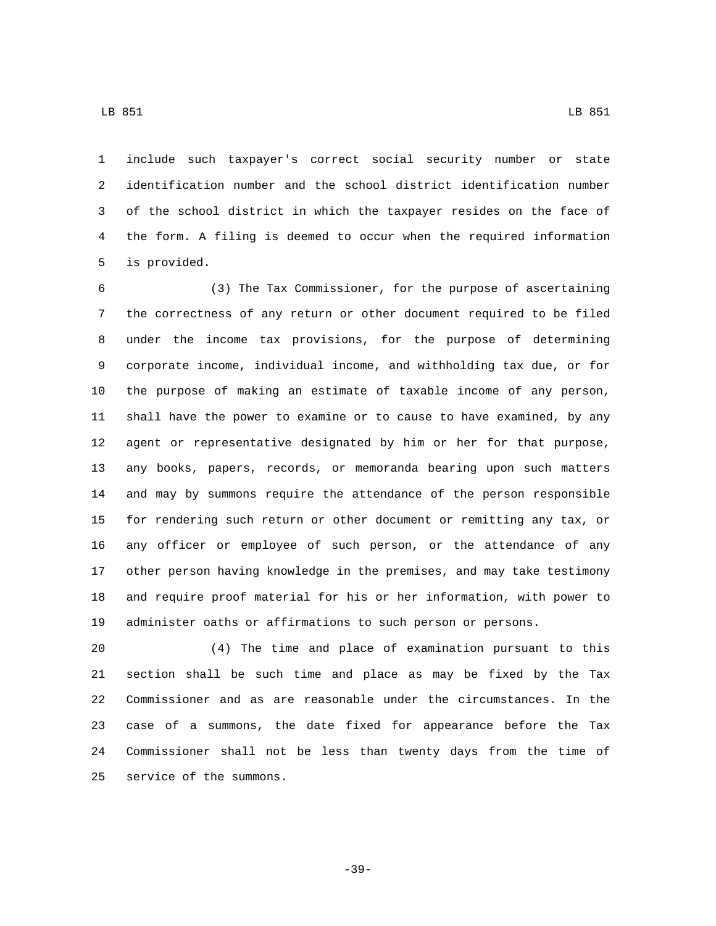LB 851 LB 851

 include such taxpayer's correct social security number or state identification number and the school district identification number of the school district in which the taxpayer resides on the face of the form. A filing is deemed to occur when the required information 5 is provided.

 (3) The Tax Commissioner, for the purpose of ascertaining the correctness of any return or other document required to be filed under the income tax provisions, for the purpose of determining corporate income, individual income, and withholding tax due, or for the purpose of making an estimate of taxable income of any person, shall have the power to examine or to cause to have examined, by any agent or representative designated by him or her for that purpose, any books, papers, records, or memoranda bearing upon such matters and may by summons require the attendance of the person responsible for rendering such return or other document or remitting any tax, or any officer or employee of such person, or the attendance of any other person having knowledge in the premises, and may take testimony and require proof material for his or her information, with power to administer oaths or affirmations to such person or persons.

 (4) The time and place of examination pursuant to this section shall be such time and place as may be fixed by the Tax Commissioner and as are reasonable under the circumstances. In the case of a summons, the date fixed for appearance before the Tax Commissioner shall not be less than twenty days from the time of 25 service of the summons.

-39-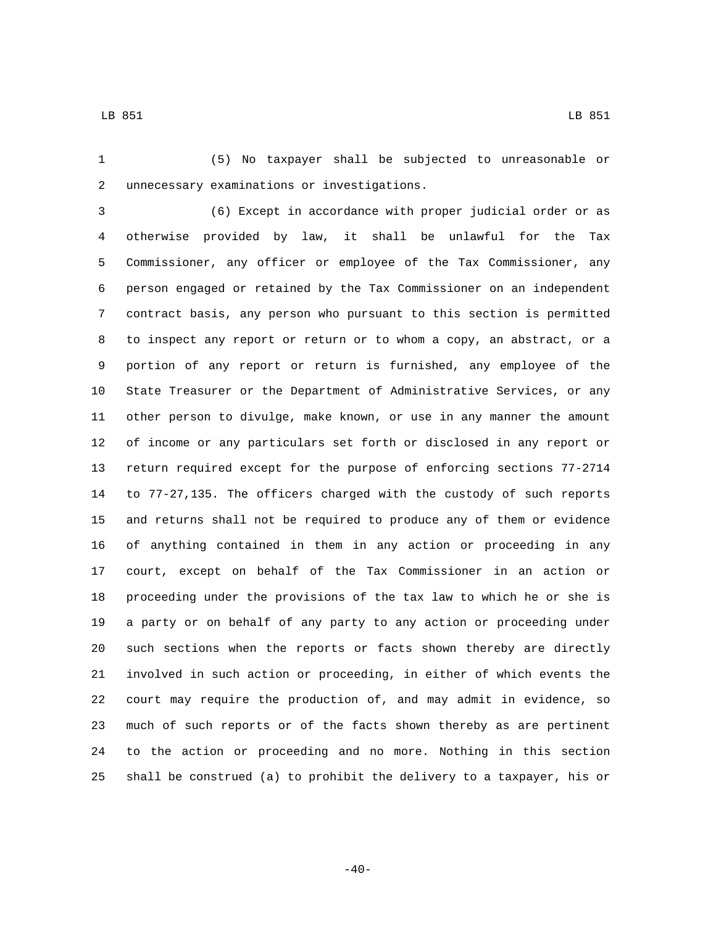LB 851 LB 951

 (5) No taxpayer shall be subjected to unreasonable or unnecessary examinations or investigations.2

 (6) Except in accordance with proper judicial order or as otherwise provided by law, it shall be unlawful for the Tax Commissioner, any officer or employee of the Tax Commissioner, any person engaged or retained by the Tax Commissioner on an independent contract basis, any person who pursuant to this section is permitted to inspect any report or return or to whom a copy, an abstract, or a portion of any report or return is furnished, any employee of the State Treasurer or the Department of Administrative Services, or any other person to divulge, make known, or use in any manner the amount of income or any particulars set forth or disclosed in any report or return required except for the purpose of enforcing sections 77-2714 to 77-27,135. The officers charged with the custody of such reports and returns shall not be required to produce any of them or evidence of anything contained in them in any action or proceeding in any court, except on behalf of the Tax Commissioner in an action or proceeding under the provisions of the tax law to which he or she is a party or on behalf of any party to any action or proceeding under such sections when the reports or facts shown thereby are directly involved in such action or proceeding, in either of which events the court may require the production of, and may admit in evidence, so much of such reports or of the facts shown thereby as are pertinent to the action or proceeding and no more. Nothing in this section shall be construed (a) to prohibit the delivery to a taxpayer, his or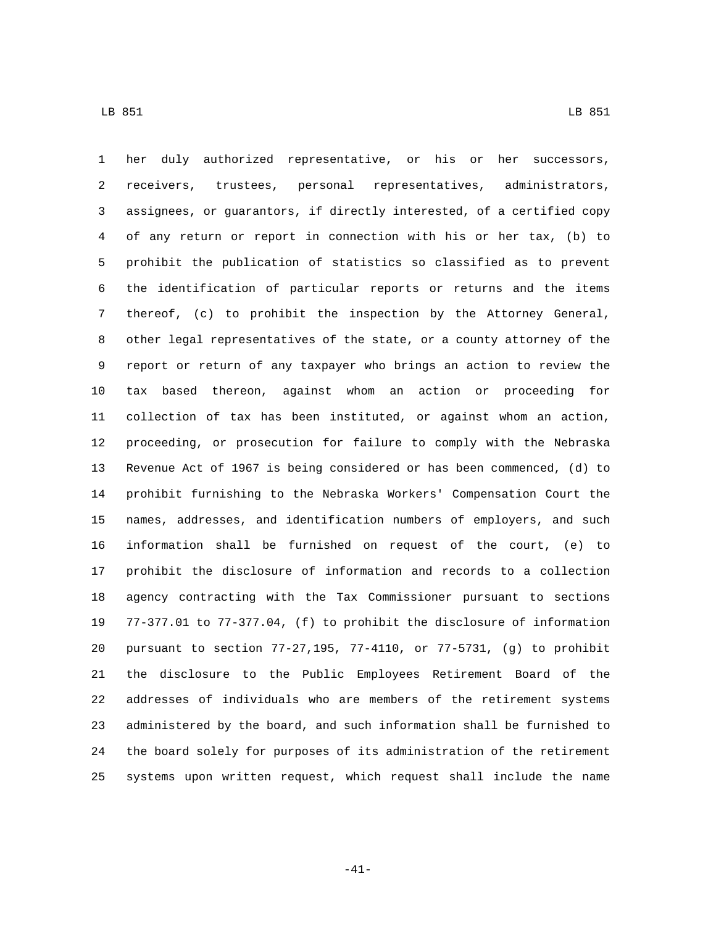her duly authorized representative, or his or her successors, receivers, trustees, personal representatives, administrators, assignees, or guarantors, if directly interested, of a certified copy of any return or report in connection with his or her tax, (b) to prohibit the publication of statistics so classified as to prevent the identification of particular reports or returns and the items thereof, (c) to prohibit the inspection by the Attorney General, other legal representatives of the state, or a county attorney of the report or return of any taxpayer who brings an action to review the tax based thereon, against whom an action or proceeding for collection of tax has been instituted, or against whom an action, proceeding, or prosecution for failure to comply with the Nebraska Revenue Act of 1967 is being considered or has been commenced, (d) to prohibit furnishing to the Nebraska Workers' Compensation Court the names, addresses, and identification numbers of employers, and such information shall be furnished on request of the court, (e) to prohibit the disclosure of information and records to a collection agency contracting with the Tax Commissioner pursuant to sections 77-377.01 to 77-377.04, (f) to prohibit the disclosure of information pursuant to section 77-27,195, 77-4110, or 77-5731, (g) to prohibit the disclosure to the Public Employees Retirement Board of the addresses of individuals who are members of the retirement systems administered by the board, and such information shall be furnished to the board solely for purposes of its administration of the retirement systems upon written request, which request shall include the name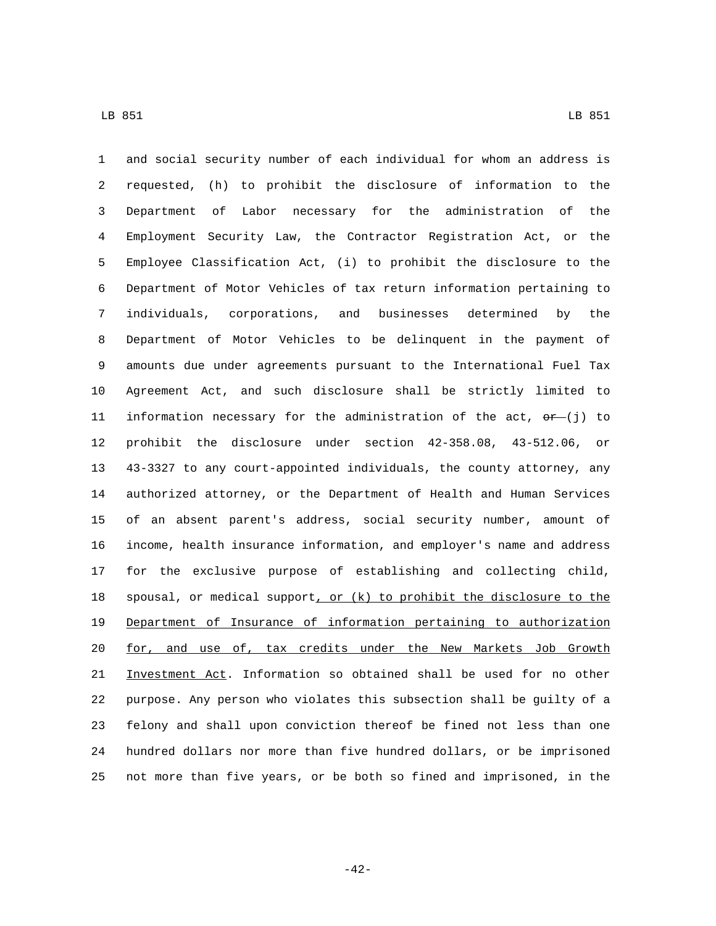and social security number of each individual for whom an address is requested, (h) to prohibit the disclosure of information to the Department of Labor necessary for the administration of the Employment Security Law, the Contractor Registration Act, or the Employee Classification Act, (i) to prohibit the disclosure to the Department of Motor Vehicles of tax return information pertaining to individuals, corporations, and businesses determined by the Department of Motor Vehicles to be delinquent in the payment of amounts due under agreements pursuant to the International Fuel Tax Agreement Act, and such disclosure shall be strictly limited to 11 information necessary for the administration of the act,  $\Theta r$  (j) to prohibit the disclosure under section 42-358.08, 43-512.06, or 43-3327 to any court-appointed individuals, the county attorney, any authorized attorney, or the Department of Health and Human Services of an absent parent's address, social security number, amount of income, health insurance information, and employer's name and address for the exclusive purpose of establishing and collecting child, 18 spousal, or medical support, or  $(k)$  to prohibit the disclosure to the Department of Insurance of information pertaining to authorization 20 for, and use of, tax credits under the New Markets Job Growth Investment Act. Information so obtained shall be used for no other purpose. Any person who violates this subsection shall be guilty of a felony and shall upon conviction thereof be fined not less than one hundred dollars nor more than five hundred dollars, or be imprisoned not more than five years, or be both so fined and imprisoned, in the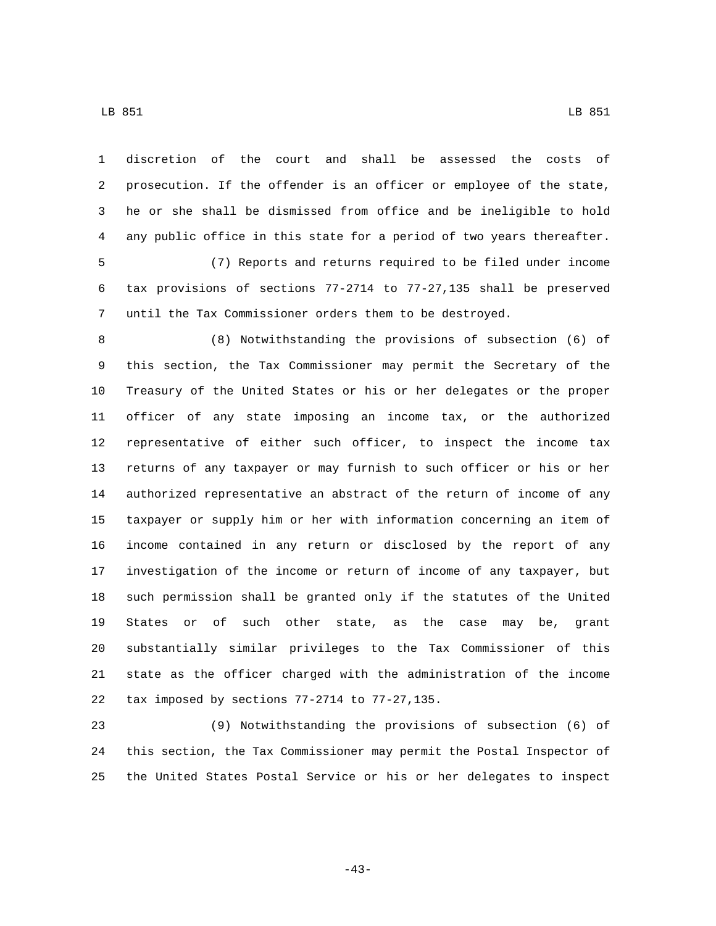LB 851 LB 851

 prosecution. If the offender is an officer or employee of the state, he or she shall be dismissed from office and be ineligible to hold any public office in this state for a period of two years thereafter. (7) Reports and returns required to be filed under income tax provisions of sections 77-2714 to 77-27,135 shall be preserved until the Tax Commissioner orders them to be destroyed. (8) Notwithstanding the provisions of subsection (6) of this section, the Tax Commissioner may permit the Secretary of the Treasury of the United States or his or her delegates or the proper officer of any state imposing an income tax, or the authorized representative of either such officer, to inspect the income tax returns of any taxpayer or may furnish to such officer or his or her authorized representative an abstract of the return of income of any taxpayer or supply him or her with information concerning an item of income contained in any return or disclosed by the report of any investigation of the income or return of income of any taxpayer, but such permission shall be granted only if the statutes of the United States or of such other state, as the case may be, grant substantially similar privileges to the Tax Commissioner of this state as the officer charged with the administration of the income 22 tax imposed by sections  $77-2714$  to  $77-27,135$ .

 (9) Notwithstanding the provisions of subsection (6) of this section, the Tax Commissioner may permit the Postal Inspector of the United States Postal Service or his or her delegates to inspect

-43-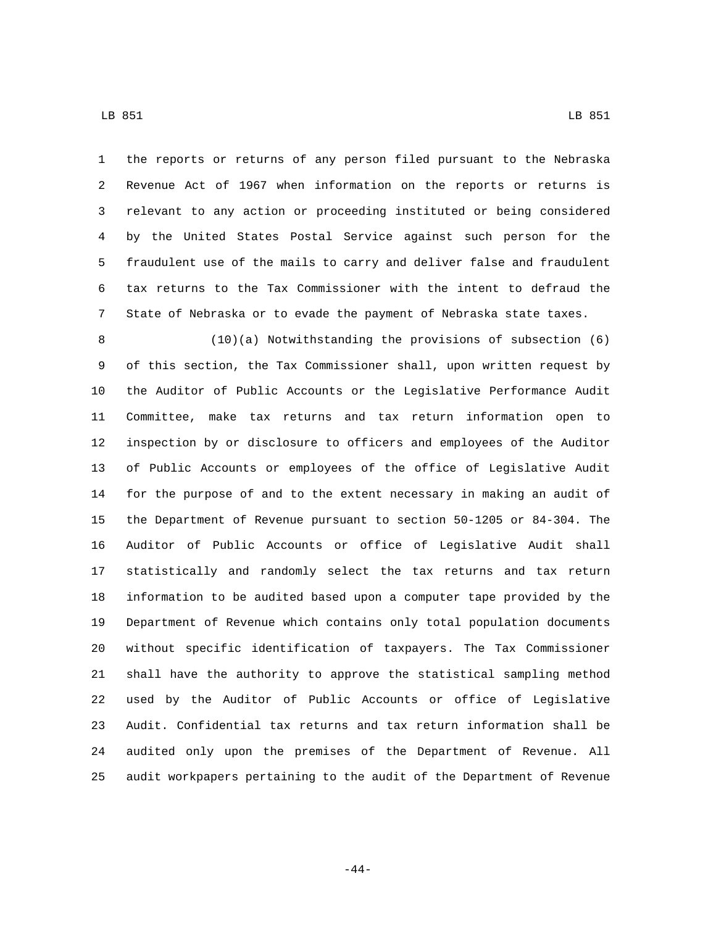the reports or returns of any person filed pursuant to the Nebraska Revenue Act of 1967 when information on the reports or returns is

 relevant to any action or proceeding instituted or being considered by the United States Postal Service against such person for the fraudulent use of the mails to carry and deliver false and fraudulent tax returns to the Tax Commissioner with the intent to defraud the State of Nebraska or to evade the payment of Nebraska state taxes.

 (10)(a) Notwithstanding the provisions of subsection (6) of this section, the Tax Commissioner shall, upon written request by the Auditor of Public Accounts or the Legislative Performance Audit Committee, make tax returns and tax return information open to inspection by or disclosure to officers and employees of the Auditor of Public Accounts or employees of the office of Legislative Audit for the purpose of and to the extent necessary in making an audit of the Department of Revenue pursuant to section 50-1205 or 84-304. The Auditor of Public Accounts or office of Legislative Audit shall statistically and randomly select the tax returns and tax return information to be audited based upon a computer tape provided by the Department of Revenue which contains only total population documents without specific identification of taxpayers. The Tax Commissioner shall have the authority to approve the statistical sampling method used by the Auditor of Public Accounts or office of Legislative Audit. Confidential tax returns and tax return information shall be audited only upon the premises of the Department of Revenue. All audit workpapers pertaining to the audit of the Department of Revenue

-44-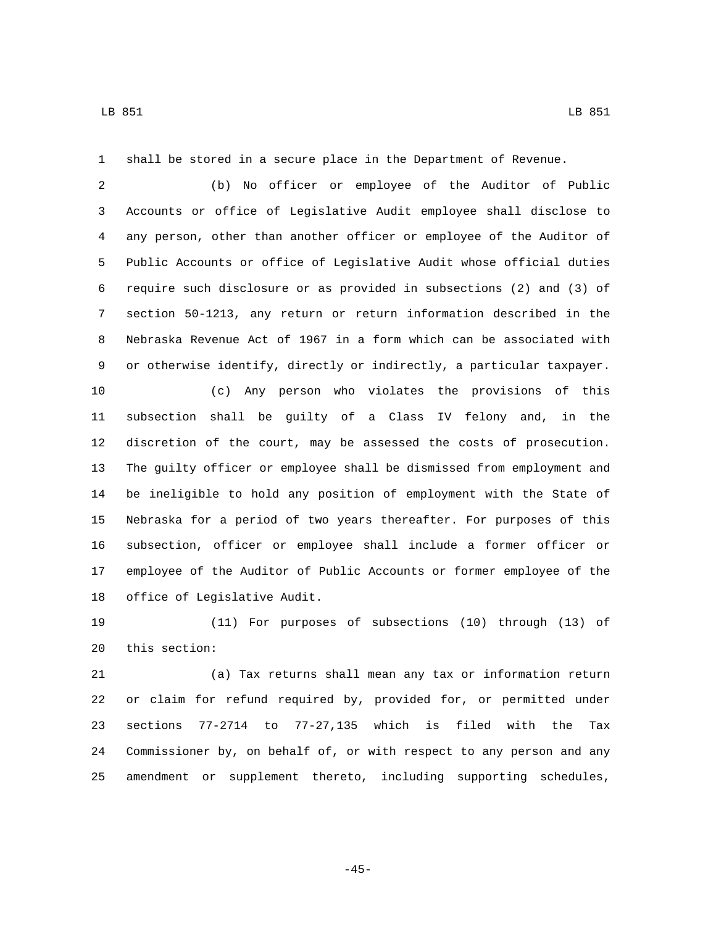shall be stored in a secure place in the Department of Revenue.

 (b) No officer or employee of the Auditor of Public Accounts or office of Legislative Audit employee shall disclose to any person, other than another officer or employee of the Auditor of Public Accounts or office of Legislative Audit whose official duties require such disclosure or as provided in subsections (2) and (3) of section 50-1213, any return or return information described in the Nebraska Revenue Act of 1967 in a form which can be associated with or otherwise identify, directly or indirectly, a particular taxpayer.

 (c) Any person who violates the provisions of this subsection shall be guilty of a Class IV felony and, in the discretion of the court, may be assessed the costs of prosecution. The guilty officer or employee shall be dismissed from employment and be ineligible to hold any position of employment with the State of Nebraska for a period of two years thereafter. For purposes of this subsection, officer or employee shall include a former officer or employee of the Auditor of Public Accounts or former employee of the 18 office of Legislative Audit.

 (11) For purposes of subsections (10) through (13) of 20 this section:

 (a) Tax returns shall mean any tax or information return or claim for refund required by, provided for, or permitted under sections 77-2714 to 77-27,135 which is filed with the Tax Commissioner by, on behalf of, or with respect to any person and any amendment or supplement thereto, including supporting schedules,

-45-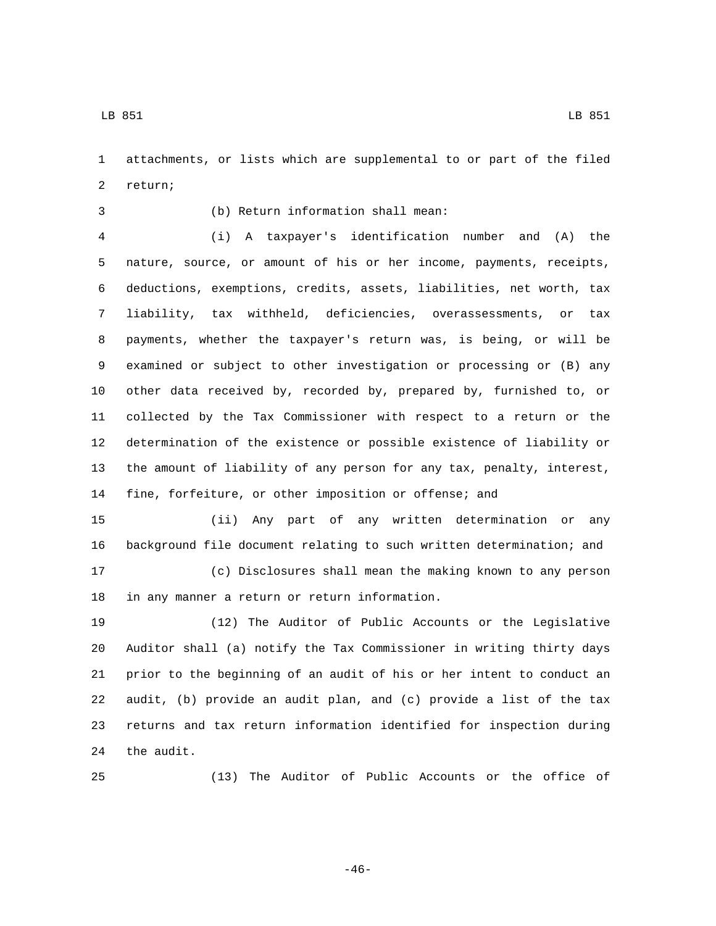attachments, or lists which are supplemental to or part of the filed 2 return;

## (b) Return information shall mean:3

 (i) A taxpayer's identification number and (A) the nature, source, or amount of his or her income, payments, receipts, deductions, exemptions, credits, assets, liabilities, net worth, tax liability, tax withheld, deficiencies, overassessments, or tax payments, whether the taxpayer's return was, is being, or will be examined or subject to other investigation or processing or (B) any other data received by, recorded by, prepared by, furnished to, or collected by the Tax Commissioner with respect to a return or the determination of the existence or possible existence of liability or the amount of liability of any person for any tax, penalty, interest, fine, forfeiture, or other imposition or offense; and

 (ii) Any part of any written determination or any background file document relating to such written determination; and (c) Disclosures shall mean the making known to any person 18 in any manner a return or return information.

 (12) The Auditor of Public Accounts or the Legislative Auditor shall (a) notify the Tax Commissioner in writing thirty days prior to the beginning of an audit of his or her intent to conduct an audit, (b) provide an audit plan, and (c) provide a list of the tax returns and tax return information identified for inspection during 24 the audit.

(13) The Auditor of Public Accounts or the office of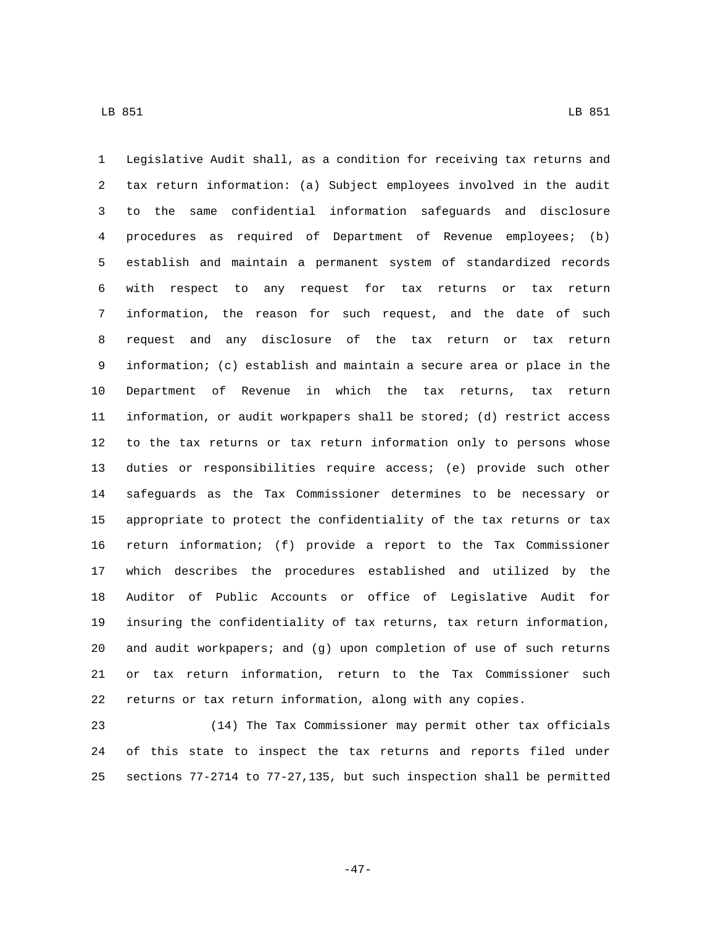Legislative Audit shall, as a condition for receiving tax returns and tax return information: (a) Subject employees involved in the audit to the same confidential information safeguards and disclosure procedures as required of Department of Revenue employees; (b) establish and maintain a permanent system of standardized records with respect to any request for tax returns or tax return information, the reason for such request, and the date of such request and any disclosure of the tax return or tax return information; (c) establish and maintain a secure area or place in the Department of Revenue in which the tax returns, tax return information, or audit workpapers shall be stored; (d) restrict access to the tax returns or tax return information only to persons whose duties or responsibilities require access; (e) provide such other safeguards as the Tax Commissioner determines to be necessary or appropriate to protect the confidentiality of the tax returns or tax return information; (f) provide a report to the Tax Commissioner which describes the procedures established and utilized by the Auditor of Public Accounts or office of Legislative Audit for insuring the confidentiality of tax returns, tax return information, and audit workpapers; and (g) upon completion of use of such returns or tax return information, return to the Tax Commissioner such returns or tax return information, along with any copies.

 (14) The Tax Commissioner may permit other tax officials of this state to inspect the tax returns and reports filed under sections 77-2714 to 77-27,135, but such inspection shall be permitted

-47-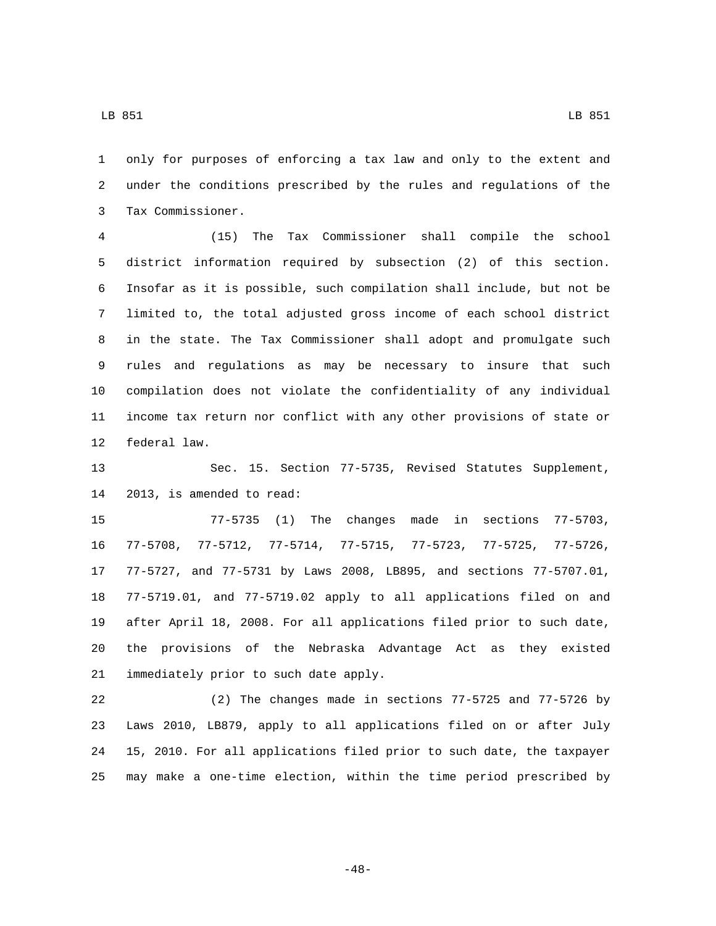only for purposes of enforcing a tax law and only to the extent and under the conditions prescribed by the rules and regulations of the Tax Commissioner.3

 (15) The Tax Commissioner shall compile the school district information required by subsection (2) of this section. Insofar as it is possible, such compilation shall include, but not be limited to, the total adjusted gross income of each school district in the state. The Tax Commissioner shall adopt and promulgate such rules and regulations as may be necessary to insure that such compilation does not violate the confidentiality of any individual income tax return nor conflict with any other provisions of state or 12 federal law.

 Sec. 15. Section 77-5735, Revised Statutes Supplement, 14 2013, is amended to read:

 77-5735 (1) The changes made in sections 77-5703, 77-5708, 77-5712, 77-5714, 77-5715, 77-5723, 77-5725, 77-5726, 77-5727, and 77-5731 by Laws 2008, LB895, and sections 77-5707.01, 77-5719.01, and 77-5719.02 apply to all applications filed on and after April 18, 2008. For all applications filed prior to such date, the provisions of the Nebraska Advantage Act as they existed 21 immediately prior to such date apply.

 (2) The changes made in sections 77-5725 and 77-5726 by Laws 2010, LB879, apply to all applications filed on or after July 15, 2010. For all applications filed prior to such date, the taxpayer may make a one-time election, within the time period prescribed by

-48-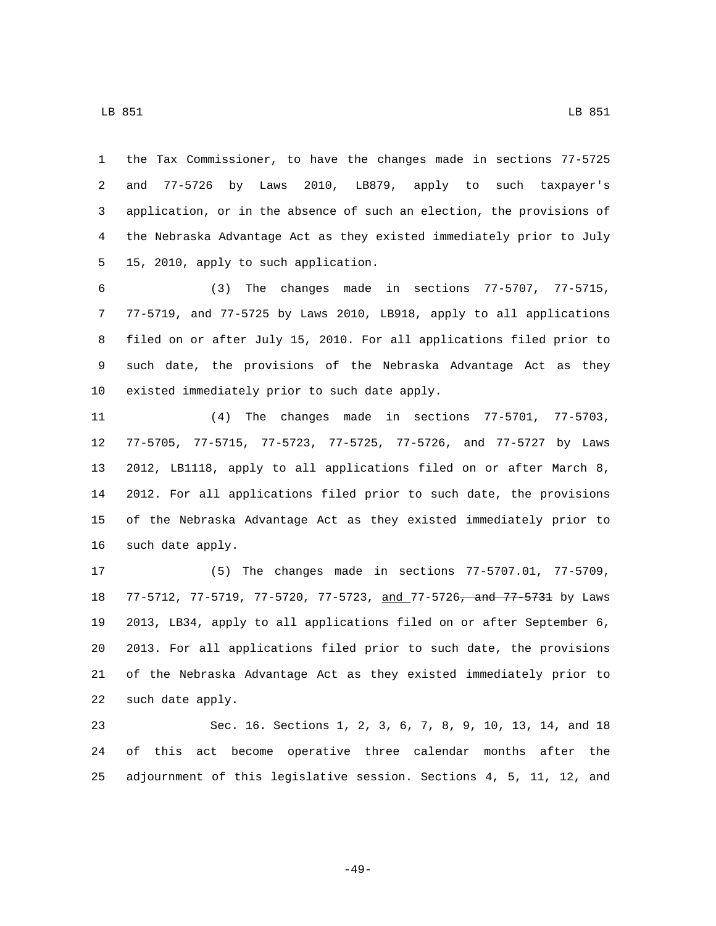the Tax Commissioner, to have the changes made in sections 77-5725 and 77-5726 by Laws 2010, LB879, apply to such taxpayer's application, or in the absence of such an election, the provisions of the Nebraska Advantage Act as they existed immediately prior to July 15, 2010, apply to such application.5

 (3) The changes made in sections 77-5707, 77-5715, 77-5719, and 77-5725 by Laws 2010, LB918, apply to all applications filed on or after July 15, 2010. For all applications filed prior to such date, the provisions of the Nebraska Advantage Act as they 10 existed immediately prior to such date apply.

 (4) The changes made in sections 77-5701, 77-5703, 77-5705, 77-5715, 77-5723, 77-5725, 77-5726, and 77-5727 by Laws 2012, LB1118, apply to all applications filed on or after March 8, 2012. For all applications filed prior to such date, the provisions of the Nebraska Advantage Act as they existed immediately prior to 16 such date apply.

 (5) The changes made in sections 77-5707.01, 77-5709, 18 77-5712, 77-5719, 77-5720, 77-5723, and 77-5726<del>, and 77-5731</del> by Laws 2013, LB34, apply to all applications filed on or after September 6, 2013. For all applications filed prior to such date, the provisions of the Nebraska Advantage Act as they existed immediately prior to 22 such date apply.

 Sec. 16. Sections 1, 2, 3, 6, 7, 8, 9, 10, 13, 14, and 18 of this act become operative three calendar months after the adjournment of this legislative session. Sections 4, 5, 11, 12, and

-49-